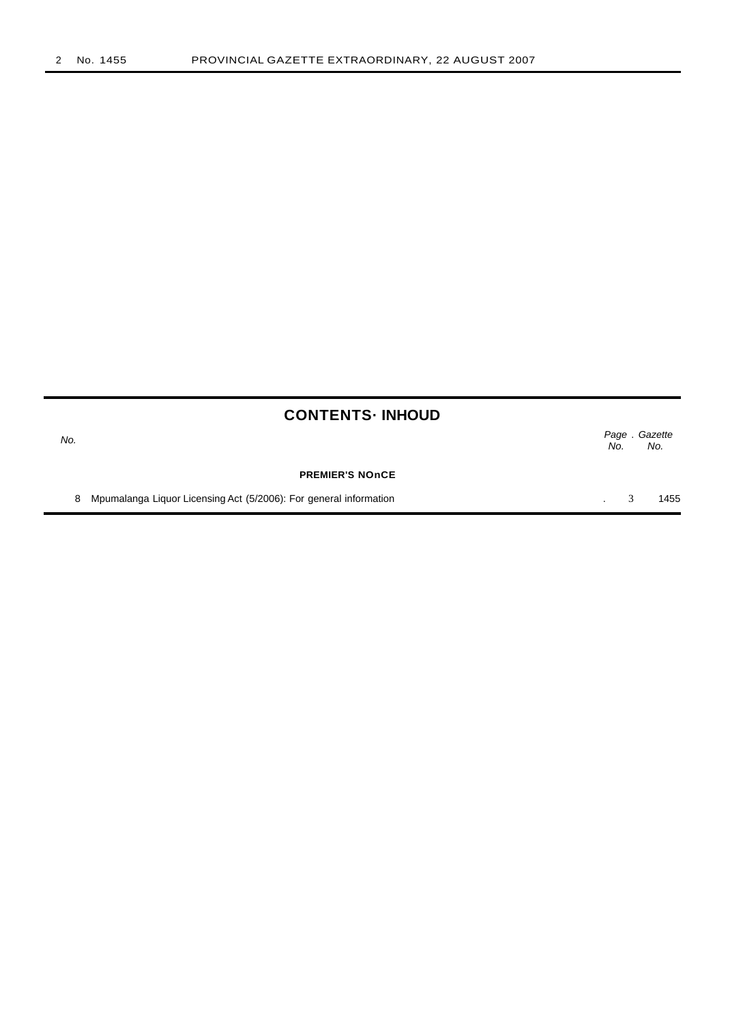No.

Page . Gazette No. No.

**PREMIER'S NOnCE**

8 Mpumalanga Liquor Licensing Act (5/2006): For general information **3** 1455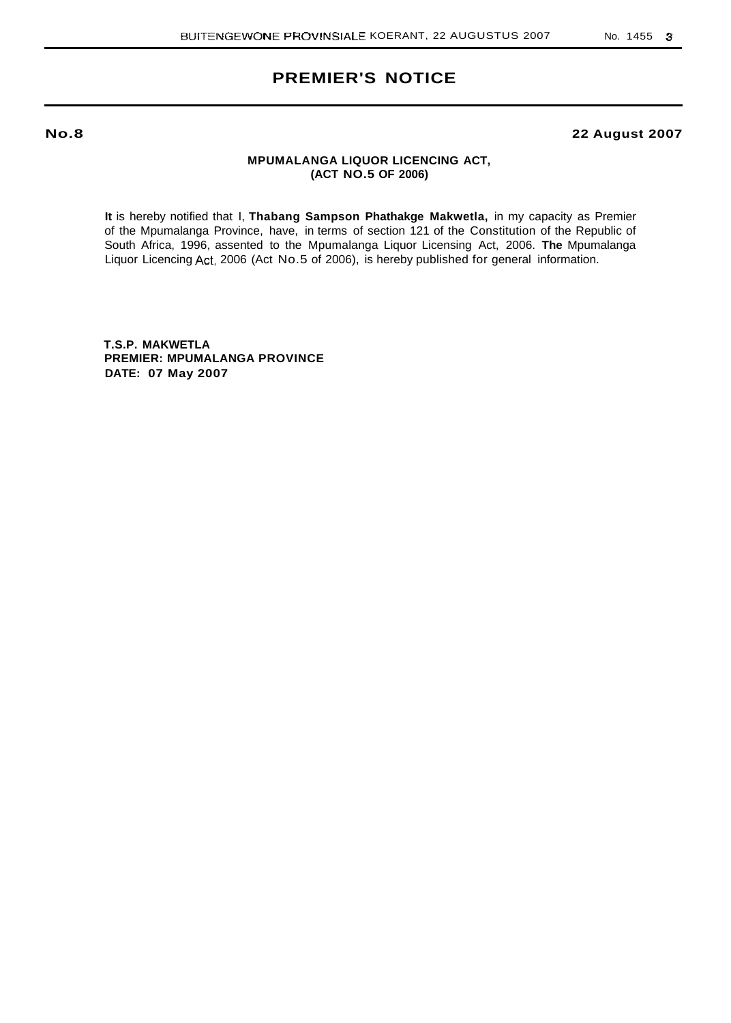# **PREMIER'S NOTICE**

**No.8**

# **22 August 2007**

# **MPUMALANGA LIQUOR LICENCING ACT, (ACT NO.5 OF 2006)**

**It** is hereby notified that I, **Thabang Sampson Phathakge Makwetla,** in my capacity as Premier of the Mpumalanga Province, have, in terms of section 121 of the Constitution of the Republic of South Africa, 1996, assented to the Mpumalanga Liquor Licensing Act, 2006. **The** Mpumalanga Liquor Licencing Act, 2006 (Act No.5 of 2006), is hereby published for general information.

**T.S.P. MAKWETLA PREMIER: MPUMALANGA PROVINCE DATE: 07 May 2007**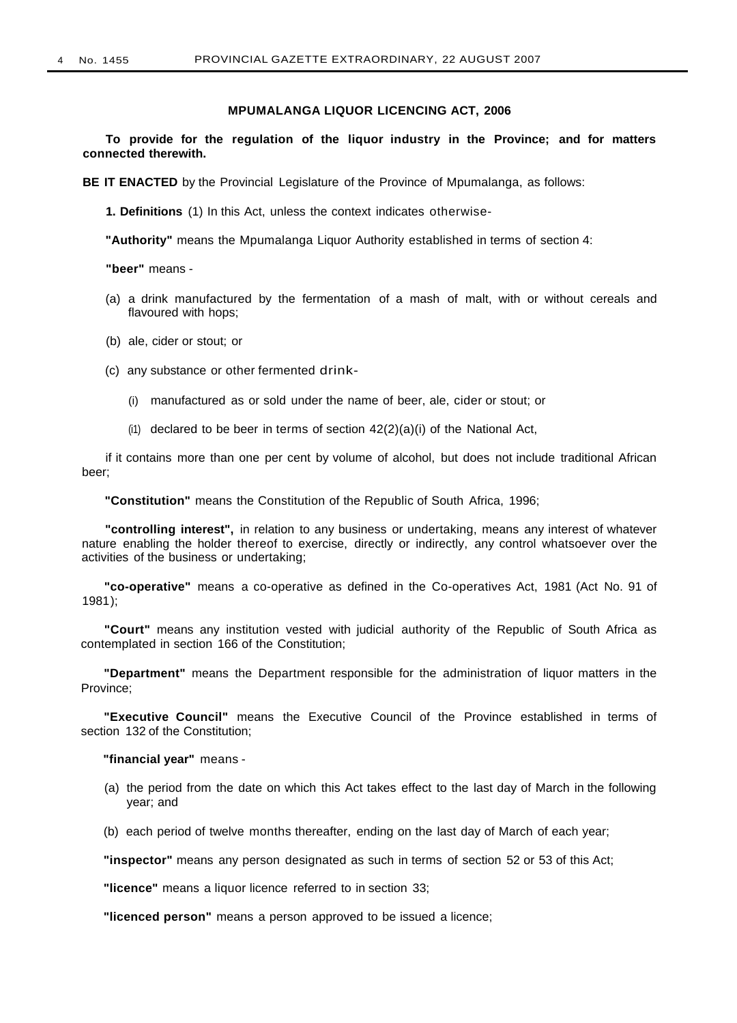## **MPUMALANGA LIQUOR LICENCING ACT, 2006**

**To provide for the regulation of the liquor industry in the Province; and for matters connected therewith.**

**BE IT ENACTED** by the Provincial Legislature of the Province of Mpumalanga, as follows:

**1. Definitions** (1) In this Act, unless the context indicates otherwise-

**"Authority"** means the Mpumalanga Liquor Authority established in terms of section 4:

**"beer"** means -

- (a) a drink manufactured by the fermentation of a mash of malt, with or without cereals and flavoured with hops;
- (b) ale, cider or stout; or
- (c) any substance or other fermented drink-
	- (i) manufactured as or sold under the name of beer, ale, cider or stout; or
	- $(i)$  declared to be beer in terms of section  $42(2)(a)(i)$  of the National Act,

if it contains more than one per cent by volume of alcohol, but does not include traditional African beer;

**"Constitution"** means the Constitution of the Republic of South Africa, 1996;

**"controlling interest",** in relation to any business or undertaking, means any interest of whatever nature enabling the holder thereof to exercise, directly or indirectly, any control whatsoever over the activities of the business or undertaking;

**"co-operative"** means a co-operative as defined in the Co-operatives Act, 1981 (Act No. 91 of 1981);

**"Court"** means any institution vested with judicial authority of the Republic of South Africa as contemplated in section 166 of the Constitution;

**"Department"** means the Department responsible for the administration of liquor matters in the Province;

**"Executive Council"** means the Executive Council of the Province established in terms of section 132 of the Constitution;

**"financial year"** means -

(a) the period from the date on which this Act takes effect to the last day of March in the following year; and

(b) each period of twelve months thereafter, ending on the last day of March of each year;

**"inspector"** means any person designated as such in terms of section 52 or 53 of this Act;

**"licence"** means a liquor licence referred to in section 33;

**"licenced person"** means a person approved to be issued a licence;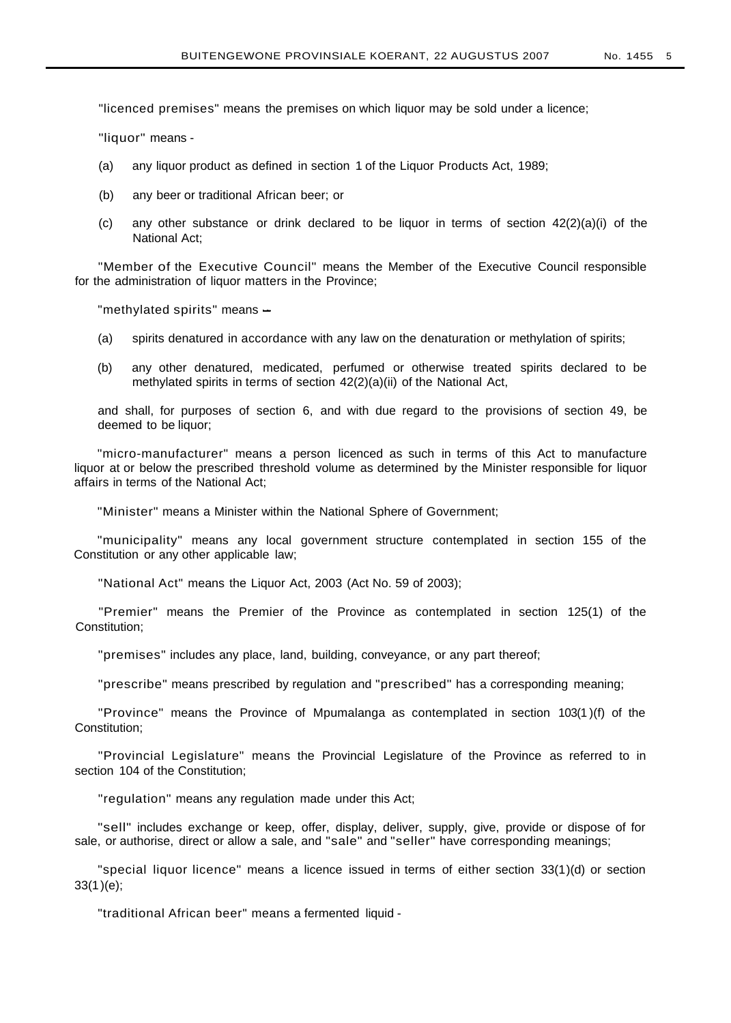"licenced premises" means the premises on which liquor may be sold under a licence;

"liquor" means -

- (a) any liquor product as defined in section 1 of the Liquor Products Act, 1989;
- (b) any beer or traditional African beer; or
- (c) any other substance or drink declared to be liquor in terms of section  $42(2)(a)(i)$  of the National Act;

"Member of the Executive Council" means the Member of the Executive Council responsible for the administration of liquor matters in the Province;

"methylated spirits" means -

- (a) spirits denatured in accordance with any law on the denaturation or methylation of spirits;
- (b) any other denatured, medicated, perfumed or otherwise treated spirits declared to be methylated spirits in terms of section 42(2)(a)(ii) of the National Act,

and shall, for purposes of section 6, and with due regard to the provisions of section 49, be deemed to be liquor;

"micro-manufacturer" means a person licenced as such in terms of this Act to manufacture liquor at or below the prescribed threshold volume as determined by the Minister responsible for liquor affairs in terms of the National Act;

"Minister" means a Minister within the National Sphere of Government;

"municipality" means any local government structure contemplated in section 155 of the Constitution or any other applicable law;

"National Act" means the Liquor Act, 2003 (Act No. 59 of 2003);

"Premier" means the Premier of the Province as contemplated in section 125(1) of the Constitution;

"premises" includes any place, land, building, conveyance, or any part thereof;

"prescribe" means prescribed by regulation and "prescribed" has a corresponding meaning;

"Province" means the Province of Mpumalanga as contemplated in section 103(1 )(f) of the Constitution;

"Provincial Legislature" means the Provincial Legislature of the Province as referred to in section 104 of the Constitution:

"regulation" means any regulation made under this Act;

"sell" includes exchange or keep, offer, display, deliver, supply, give, provide or dispose of for sale, or authorise, direct or allow a sale, and "sale" and "seller" have corresponding meanings;

"special liquor licence" means a licence issued in terms of either section 33(1)(d) or section 33(1)(e);

"traditional African beer" means a fermented liquid -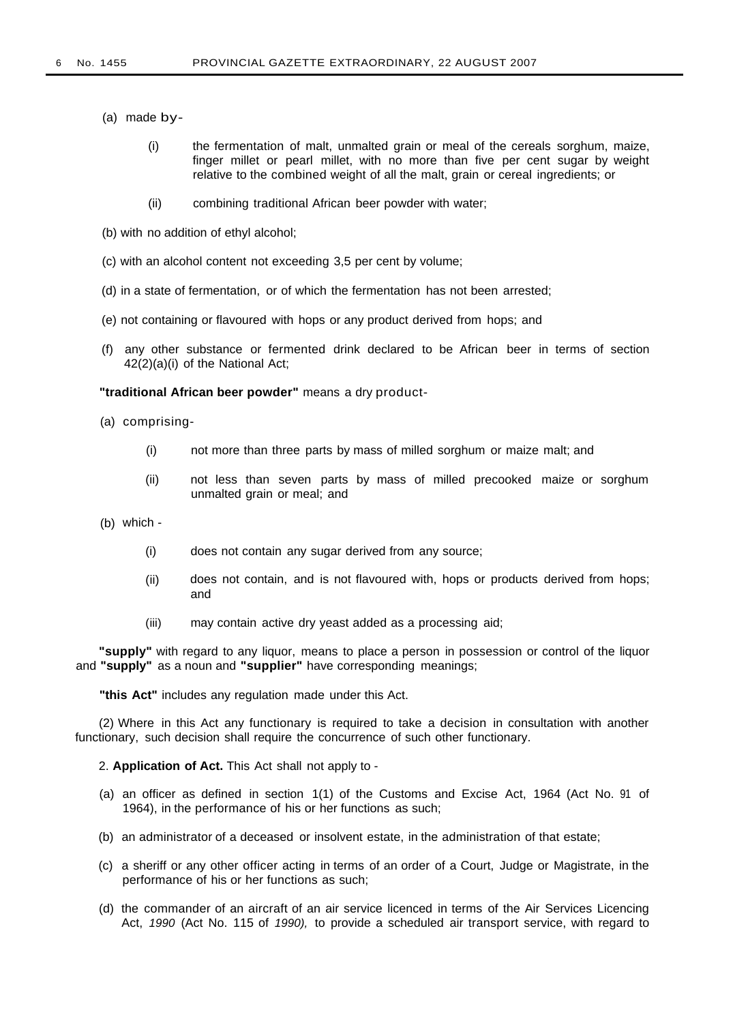- (a) made by-
	- (i) the fermentation of malt, unmalted grain or meal of the cereals sorghum, maize, finger millet or pearl millet, with no more than five per cent sugar by weight relative to the combined weight of all the malt, grain or cereal ingredients; or
	- (ii) combining traditional African beer powder with water;
- (b) with no addition of ethyl alcohol;
- (c) with an alcohol content not exceeding 3,5 per cent by volume;
- (d) in a state of fermentation, or of which the fermentation has not been arrested;
- (e) not containing or flavoured with hops or any product derived from hops; and
- (f) any other substance or fermented drink declared to be African beer in terms of section 42(2)(a)(i) of the National Act;

**"traditional African beer powder"** means a dry product-

- (a) comprising-
	- (i) not more than three parts by mass of milled sorghum or maize malt; and
	- (ii) not less than seven parts by mass of milled precooked maize or sorghum unmalted grain or meal; and
- (b) which
	- (i) does not contain any sugar derived from any source;
	- (ii) does not contain, and is not flavoured with, hops or products derived from hops; and
	- (iii) may contain active dry yeast added as a processing aid;

**"supply"** with regard to any liquor, means to place a person in possession or control of the liquor and **"supply"** as a noun and **"supplier"** have corresponding meanings;

**"this Act"** includes any regulation made under this Act.

(2) Where in this Act any functionary is required to take a decision in consultation with another functionary, such decision shall require the concurrence of such other functionary.

2. **Application of Act.** This Act shall not apply to -

- (a) an officer as defined in section 1(1) of the Customs and Excise Act, 1964 (Act No. 91 of 1964), in the performance of his or her functions as such;
- (b) an administrator of a deceased or insolvent estate, in the administration of that estate;
- (c) a sheriff or any other officer acting in terms of an order of a Court, Judge or Magistrate, in the performance of his or her functions as such;
- (d) the commander of an aircraft of an air service licenced in terms of the Air Services Licencing Act, 1990 (Act No. 115 of 1990), to provide a scheduled air transport service, with regard to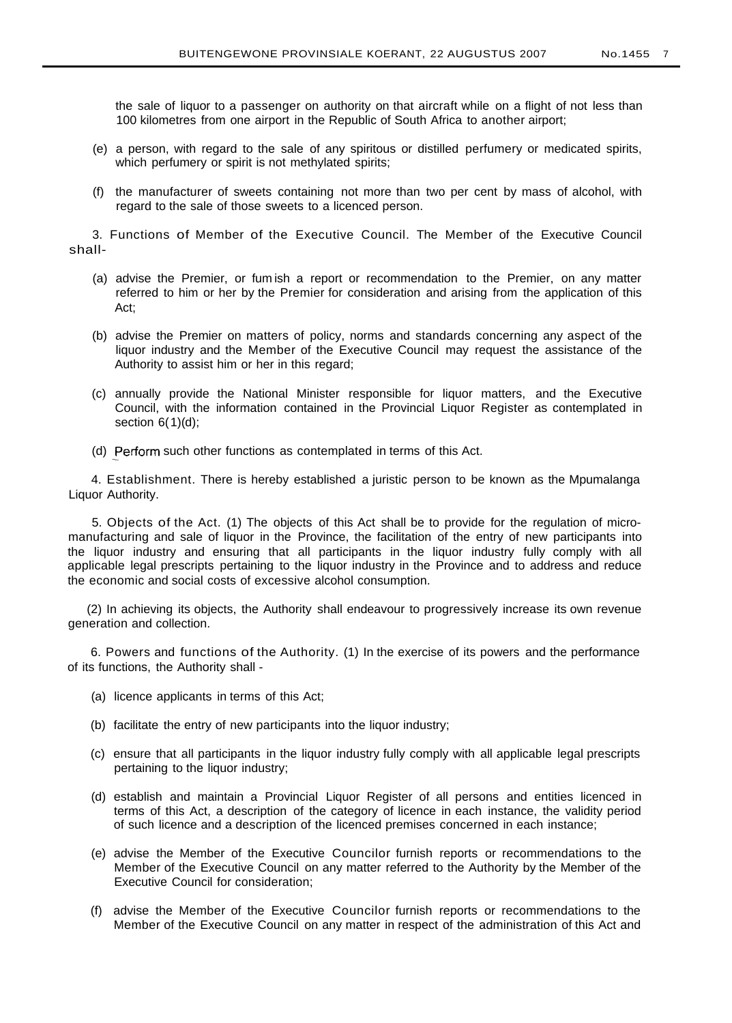the sale of liquor to a passenger on authority on that aircraft while on a flight of not less than 100 kilometres from one airport in the Republic of South Africa to another airport;

- (e) a person, with regard to the sale of any spiritous or distilled perfumery or medicated spirits, which perfumery or spirit is not methylated spirits;
- (f) the manufacturer of sweets containing not more than two per cent by mass of alcohol, with regard to the sale of those sweets to a licenced person.

3. Functions of Member of the Executive Council. The Member of the Executive Council shall-

- (a) advise the Premier, or fum ish a report or recommendation to the Premier, on any matter referred to him or her by the Premier for consideration and arising from the application of this Act;
- (b) advise the Premier on matters of policy, norms and standards concerning any aspect of the liquor industry and the Member of the Executive Council may request the assistance of the Authority to assist him or her in this regard;
- (c) annually provide the National Minister responsible for liquor matters, and the Executive Council, with the information contained in the Provincial Liquor Register as contemplated in section  $6(1)(d)$ ;
- (d) Perform such other functions as contemplated in terms of this Act.

4. Establishment. There is hereby established a juristic person to be known as the Mpumalanga Liquor Authority.

5. Objects of the Act. (1) The objects of this Act shall be to provide for the regulation of micromanufacturing and sale of liquor in the Province, the facilitation of the entry of new participants into the liquor industry and ensuring that all participants in the liquor industry fully comply with all applicable legal prescripts pertaining to the liquor industry in the Province and to address and reduce the economic and social costs of excessive alcohol consumption.

(2) In achieving its objects, the Authority shall endeavour to progressively increase its own revenue generation and collection.

6. Powers and functions of the Authority. (1) In the exercise of its powers and the performance of its functions, the Authority shall -

- (a) licence applicants in terms of this Act;
- (b) facilitate the entry of new participants into the liquor industry;
- (c) ensure that all participants in the liquor industry fully comply with all applicable legal prescripts pertaining to the liquor industry;
- (d) establish and maintain a Provincial Liquor Register of all persons and entities licenced in terms of this Act, a description of the category of licence in each instance, the validity period of such licence and a description of the licenced premises concerned in each instance;
- (e) advise the Member of the Executive Councilor furnish reports or recommendations to the Member of the Executive Council on any matter referred to the Authority by the Member of the Executive Council for consideration;
- (f) advise the Member of the Executive Councilor furnish reports or recommendations to the Member of the Executive Council on any matter in respect of the administration of this Act and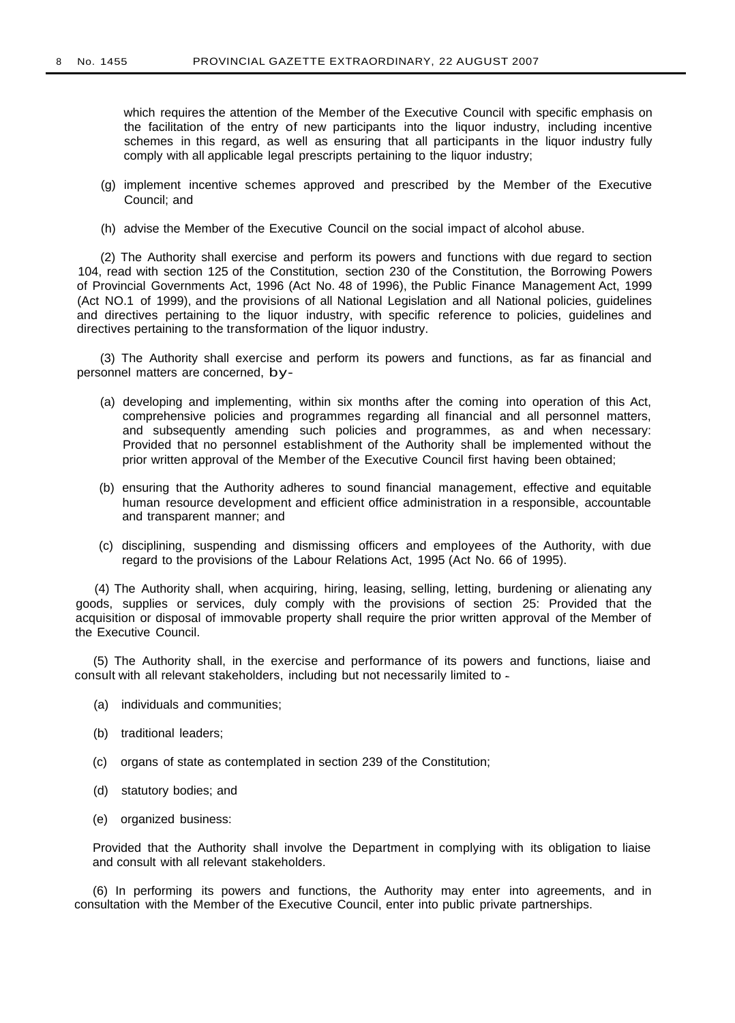which requires the attention of the Member of the Executive Council with specific emphasis on the facilitation of the entry of new participants into the liquor industry, including incentive schemes in this regard, as well as ensuring that all participants in the liquor industry fully comply with all applicable legal prescripts pertaining to the liquor industry:

- (g) implement incentive schemes approved and prescribed by the Member of the Executive Council; and
- (h) advise the Member of the Executive Council on the social impact of alcohol abuse.

(2) The Authority shall exercise and perform its powers and functions with due regard to section 104, read with section 125 of the Constitution, section 230 of the Constitution, the Borrowing Powers of Provincial Governments Act, 1996 (Act No. 48 of 1996), the Public Finance Management Act, 1999 (Act NO.1 of 1999), and the provisions of all National Legislation and all National policies, guidelines and directives pertaining to the liquor industry, with specific reference to policies, guidelines and directives pertaining to the transformation of the liquor industry.

(3) The Authority shall exercise and perform its powers and functions, as far as financial and personnel matters are concerned, by-

- (a) developing and implementing, within six months after the coming into operation of this Act, comprehensive policies and programmes regarding all financial and all personnel matters, and subsequently amending such policies and programmes, as and when necessary: Provided that no personnel establishment of the Authority shall be implemented without the prior written approval of the Member of the Executive Council first having been obtained;
- (b) ensuring that the Authority adheres to sound financial management, effective and equitable human resource development and efficient office administration in a responsible, accountable and transparent manner; and
- (c) disciplining, suspending and dismissing officers and employees of the Authority, with due regard to the provisions of the Labour Relations Act, 1995 (Act No. 66 of 1995).

(4) The Authority shall, when acquiring, hiring, leasing, selling, letting, burdening or alienating any goods, supplies or services, duly comply with the provisions of section 25: Provided that the acquisition or disposal of immovable property shall require the prior written approval of the Member of the Executive Council.

(5) The Authority shall, in the exercise and performance of its powers and functions, liaise and consult with all relevant stakeholders, including but not necessarily limited to -

- (a) individuals and communities;
- (b) traditional leaders;
- (c) organs of state as contemplated in section 239 of the Constitution;
- (d) statutory bodies; and
- (e) organized business:

Provided that the Authority shall involve the Department in complying with its obligation to liaise and consult with all relevant stakeholders.

(6) In performing its powers and functions, the Authority may enter into agreements, and in consultation with the Member of the Executive Council, enter into public private partnerships.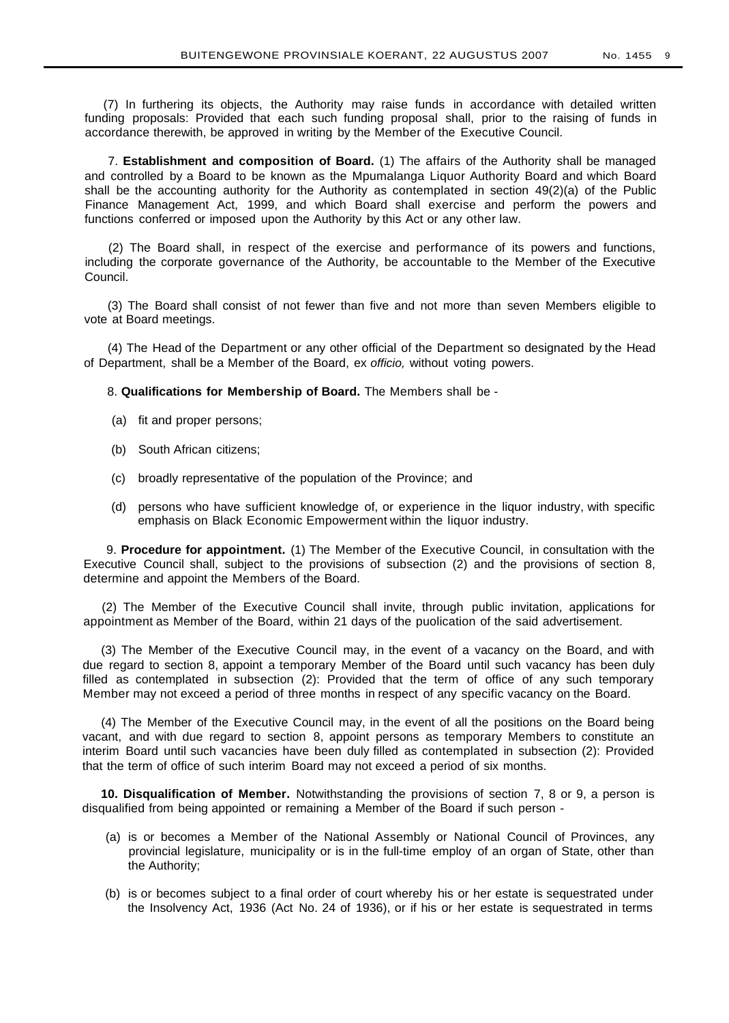(7) In furthering its objects, the Authority may raise funds in accordance with detailed written funding proposals: Provided that each such funding proposal shall, prior to the raising of funds in accordance therewith, be approved in writing by the Member of the Executive Council.

7. **Establishment and composition of Board.** (1) The affairs of the Authority shall be managed and controlled by a Board to be known as the Mpumalanga Liquor Authority Board and which Board shall be the accounting authority for the Authority as contemplated in section 49(2)(a) of the Public Finance Management Act, 1999, and which Board shall exercise and perform the powers and functions conferred or imposed upon the Authority by this Act or any other law.

(2) The Board shall, in respect of the exercise and performance of its powers and functions, including the corporate governance of the Authority, be accountable to the Member of the Executive Council.

(3) The Board shall consist of not fewer than five and not more than seven Members eligible to vote at Board meetings.

(4) The Head of the Department or any other official of the Department so designated by the Head of Department, shall be a Member of the Board, ex officio, without voting powers.

8. **Qualifications for Membership of Board.** The Members shall be -

- (a) fit and proper persons;
- (b) South African citizens;
- (c) broadly representative of the population of the Province; and
- (d) persons who have sufficient knowledge of, or experience in the liquor industry, with specific emphasis on Black Economic Empowerment within the liquor industry.

9. **Procedure for appointment.** (1) The Member of the Executive Council, in consultation with the Executive Council shall, subject to the provisions of subsection (2) and the provisions of section 8, determine and appoint the Members of the Board.

(2) The Member of the Executive Council shall invite, through public invitation, applications for appointment as Member of the Board, within 21 days of the puolication of the said advertisement.

(3) The Member of the Executive Council may, in the event of a vacancy on the Board, and with due regard to section 8, appoint a temporary Member of the Board until such vacancy has been duly filled as contemplated in subsection (2): Provided that the term of office of any such temporary Member may not exceed a period of three months in respect of any specific vacancy on the Board.

(4) The Member of the Executive Council may, in the event of all the positions on the Board being vacant, and with due regard to section 8, appoint persons as temporary Members to constitute an interim Board until such vacancies have been duly filled as contemplated in subsection (2): Provided that the term of office of such interim Board may not exceed a period of six months.

**10. Disqualification of Member.** Notwithstanding the provisions of section 7, 8 or 9, a person is disqualified from being appointed or remaining a Member of the Board if such person -

- (a) is or becomes a Member of the National Assembly or National Council of Provinces, any provincial legislature, municipality or is in the full-time employ of an organ of State, other than the Authority;
- (b) is or becomes subject to a final order of court whereby his or her estate is sequestrated under the Insolvency Act, 1936 (Act No. 24 of 1936), or if his or her estate is sequestrated in terms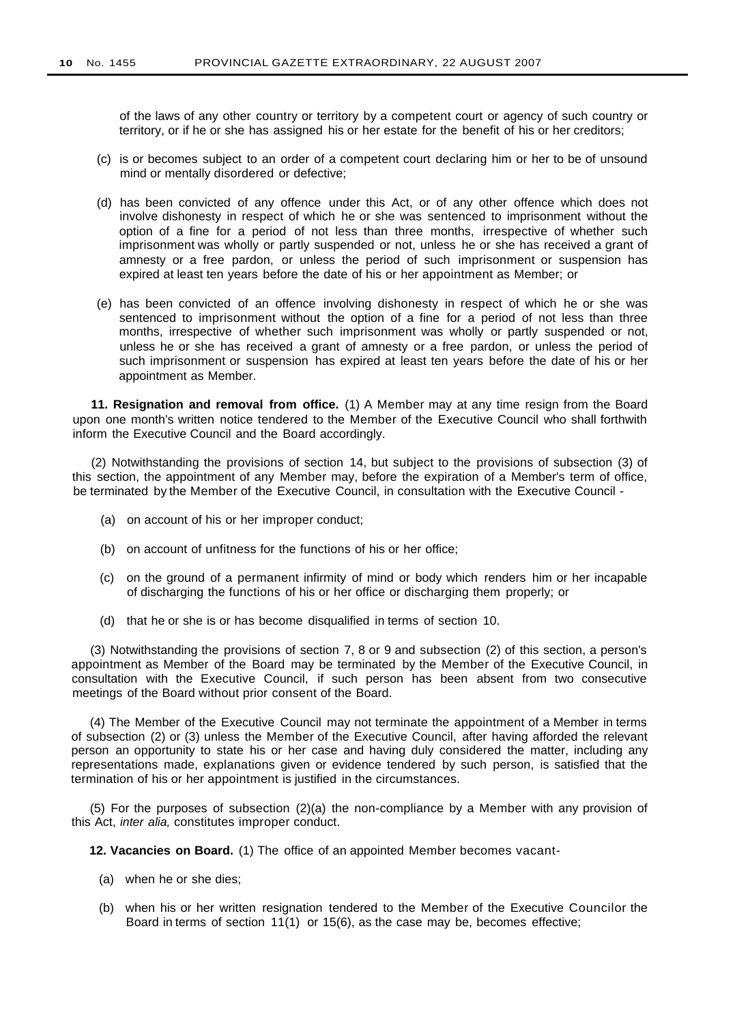of the laws of any other country or territory by a competent court or agency of such country or territory, or if he or she has assigned his or her estate for the benefit of his or her creditors;

- (c) is or becomes subject to an order of a competent court declaring him or her to be of unsound mind or mentally disordered or defective;
- (d) has been convicted of any offence under this Act, or of any other offence which does not involve dishonesty in respect of which he or she was sentenced to imprisonment without the option of a fine for a period of not less than three months, irrespective of whether such imprisonment was wholly or partly suspended or not, unless he or she has received a grant of amnesty or a free pardon, or unless the period of such imprisonment or suspension has expired at least ten years before the date of his or her appointment as Member; or
- (e) has been convicted of an offence involving dishonesty in respect of which he or she was sentenced to imprisonment without the option of a fine for a period of not less than three months, irrespective of whether such imprisonment was wholly or partly suspended or not, unless he or she has received a grant of amnesty or a free pardon, or unless the period of such imprisonment or suspension has expired at least ten years before the date of his or her appointment as Member.

**11. Resignation and removal from office.** (1) A Member may at any time resign from the Board upon one month's written notice tendered to the Member of the Executive Council who shall forthwith inform the Executive Council and the Board accordingly.

(2) Notwithstanding the provisions of section 14, but subject to the provisions of subsection (3) of this section, the appointment of any Member may, before the expiration of a Member's term of office, be terminated by the Member of the Executive Council, in consultation with the Executive Council -

- (a) on account of his or her improper conduct;
- (b) on account of unfitness for the functions of his or her office;
- (c) on the ground of a permanent infirmity of mind or body which renders him or her incapable of discharging the functions of his or her office or discharging them properly; or
- (d) that he or she is or has become disqualified in terms of section 10.

(3) Notwithstanding the provisions of section 7, 8 or 9 and subsection (2) of this section, a person's appointment as Member of the Board may be terminated by the Member of the Executive Council, in consultation with the Executive Council, if such person has been absent from two consecutive meetings of the Board without prior consent of the Board.

(4) The Member of the Executive Council may not terminate the appointment of a Member in terms of subsection (2) or (3) unless the Member of the Executive Council, after having afforded the relevant person an opportunity to state his or her case and having duly considered the matter, including any representations made, explanations given or evidence tendered by such person, is satisfied that the termination of his or her appointment is justified in the circumstances.

(5) For the purposes of subsection (2)(a) the non-compliance by a Member with any provision of this Act, inter alia, constitutes improper conduct.

**12. Vacancies on Board.** (1) The office of an appointed Member becomes vacant-

- (a) when he or she dies;
- (b) when his or her written resignation tendered to the Member of the Executive Councilor the Board in terms of section 11(1) or 15(6), as the case may be, becomes effective;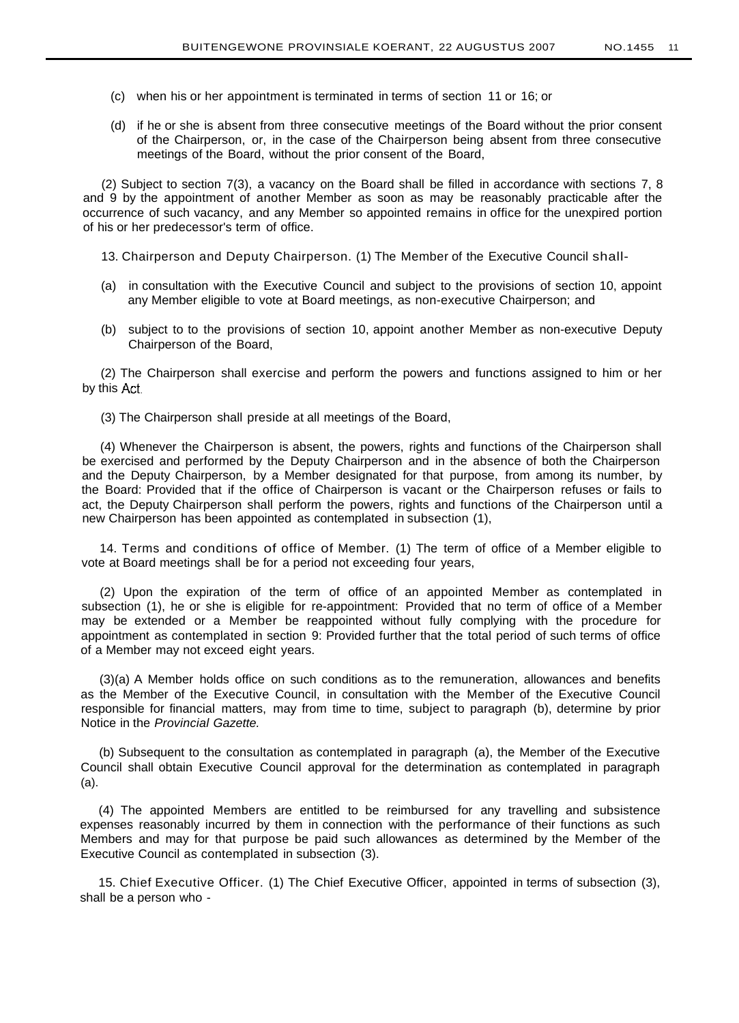- (c) when his or her appointment is terminated in terms of section 11 or 16; or
- (d) if he or she is absent from three consecutive meetings of the Board without the prior consent of the Chairperson, or, in the case of the Chairperson being absent from three consecutive meetings of the Board, without the prior consent of the Board,

(2) Subject to section 7(3), a vacancy on the Board shall be filled in accordance with sections 7, 8 and 9 by the appointment of another Member as soon as may be reasonably practicable after the occurrence of such vacancy, and any Member so appointed remains in office for the unexpired portion of his or her predecessor's term of office.

13. Chairperson and Deputy Chairperson. (1) The Member of the Executive Council shall-

- (a) in consultation with the Executive Council and subject to the provisions of section 10, appoint any Member eligible to vote at Board meetings, as non-executive Chairperson; and
- (b) subject to to the provisions of section 10, appoint another Member as non-executive Deputy Chairperson of the Board,

(2) The Chairperson shall exercise and perform the powers and functions assigned to him or her by this Act.

(3) The Chairperson shall preside at all meetings of the Board,

(4) Whenever the Chairperson is absent, the powers, rights and functions of the Chairperson shall be exercised and performed by the Deputy Chairperson and in the absence of both the Chairperson and the Deputy Chairperson, by a Member designated for that purpose, from among its number, by the Board: Provided that if the office of Chairperson is vacant or the Chairperson refuses or fails to act, the Deputy Chairperson shall perform the powers, rights and functions of the Chairperson until a new Chairperson has been appointed as contemplated in subsection (1),

14. Terms and conditions of office of Member. (1) The term of office of a Member eligible to vote at Board meetings shall be for a period not exceeding four years,

(2) Upon the expiration of the term of office of an appointed Member as contemplated in subsection (1), he or she is eligible for re-appointment: Provided that no term of office of a Member may be extended or a Member be reappointed without fully complying with the procedure for appointment as contemplated in section 9: Provided further that the total period of such terms of office of a Member may not exceed eight years.

(3)(a) A Member holds office on such conditions as to the remuneration, allowances and benefits as the Member of the Executive Council, in consultation with the Member of the Executive Council responsible for financial matters, may from time to time, subject to paragraph (b), determine by prior Notice in the Provincial Gazette.

(b) Subsequent to the consultation as contemplated in paragraph (a), the Member of the Executive Council shall obtain Executive Council approval for the determination as contemplated in paragraph (a).

(4) The appointed Members are entitled to be reimbursed for any travelling and subsistence expenses reasonably incurred by them in connection with the performance of their functions as such Members and may for that purpose be paid such allowances as determined by the Member of the Executive Council as contemplated in subsection (3).

15. Chief Executive Officer. (1) The Chief Executive Officer, appointed in terms of subsection (3), shall be a person who -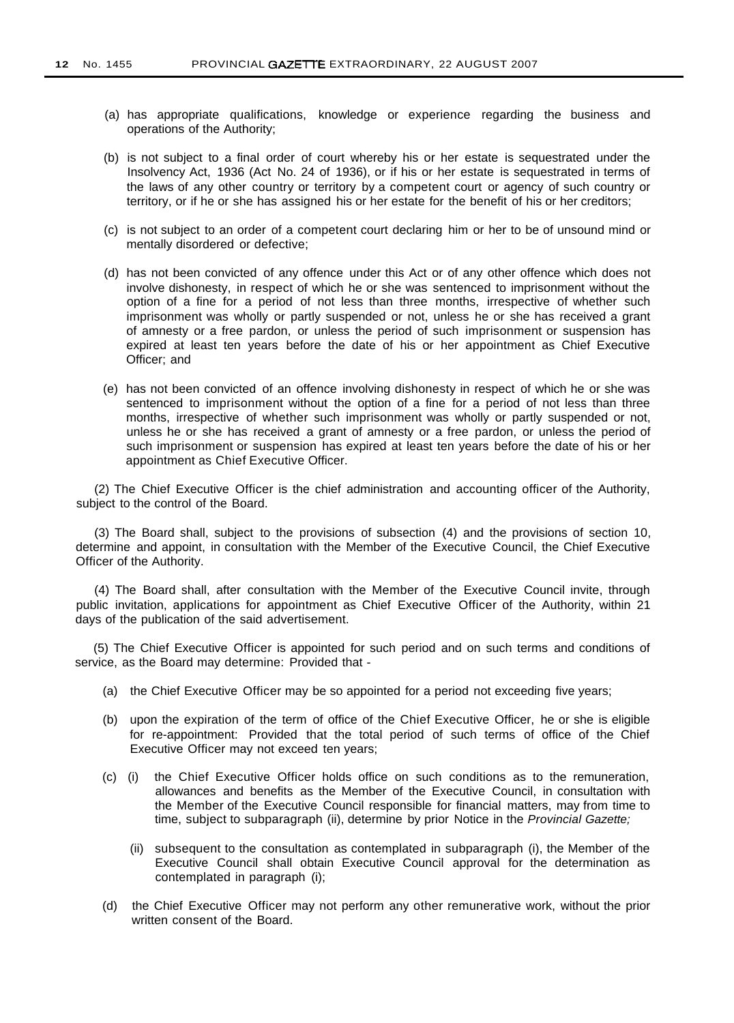- (a) has appropriate qualifications, knowledge or experience regarding the business and operations of the Authority;
- (b) is not subject to a final order of court whereby his or her estate is sequestrated under the Insolvency Act, 1936 (Act No. 24 of 1936), or if his or her estate is sequestrated in terms of the laws of any other country or territory by a competent court or agency of such country or territory, or if he or she has assigned his or her estate for the benefit of his or her creditors;
- (c) is not subject to an order of a competent court declaring him or her to be of unsound mind or mentally disordered or defective;
- (d) has not been convicted of any offence under this Act or of any other offence which does not involve dishonesty, in respect of which he or she was sentenced to imprisonment without the option of a fine for a period of not less than three months, irrespective of whether such imprisonment was wholly or partly suspended or not, unless he or she has received a grant of amnesty or a free pardon, or unless the period of such imprisonment or suspension has expired at least ten years before the date of his or her appointment as Chief Executive Officer; and
- (e) has not been convicted of an offence involving dishonesty in respect of which he or she was sentenced to imprisonment without the option of a fine for a period of not less than three months, irrespective of whether such imprisonment was wholly or partly suspended or not, unless he or she has received a grant of amnesty or a free pardon, or unless the period of such imprisonment or suspension has expired at least ten years before the date of his or her appointment as Chief Executive Officer.

(2) The Chief Executive Officer is the chief administration and accounting officer of the Authority, subject to the control of the Board.

(3) The Board shall, subject to the provisions of subsection (4) and the provisions of section 10, determine and appoint, in consultation with the Member of the Executive Council, the Chief Executive Officer of the Authority.

(4) The Board shall, after consultation with the Member of the Executive Council invite, through public invitation, applications for appointment as Chief Executive Officer of the Authority, within 21 days of the publication of the said advertisement.

(5) The Chief Executive Officer is appointed for such period and on such terms and conditions of service, as the Board may determine: Provided that -

- (a) the Chief Executive Officer may be so appointed for a period not exceeding five years;
- (b) upon the expiration of the term of office of the Chief Executive Officer, he or she is eligible for re-appointment: Provided that the total period of such terms of office of the Chief Executive Officer may not exceed ten years;
- (c) (i) the Chief Executive Officer holds office on such conditions as to the remuneration, allowances and benefits as the Member of the Executive Council, in consultation with the Member of the Executive Council responsible for financial matters, may from time to time, subject to subparagraph (ii), determine by prior Notice in the Provincial Gazette;
	- (ii) subsequent to the consultation as contemplated in subparagraph (i), the Member of the Executive Council shall obtain Executive Council approval for the determination as contemplated in paragraph (i);
- (d) the Chief Executive Officer may not perform any other remunerative work, without the prior written consent of the Board.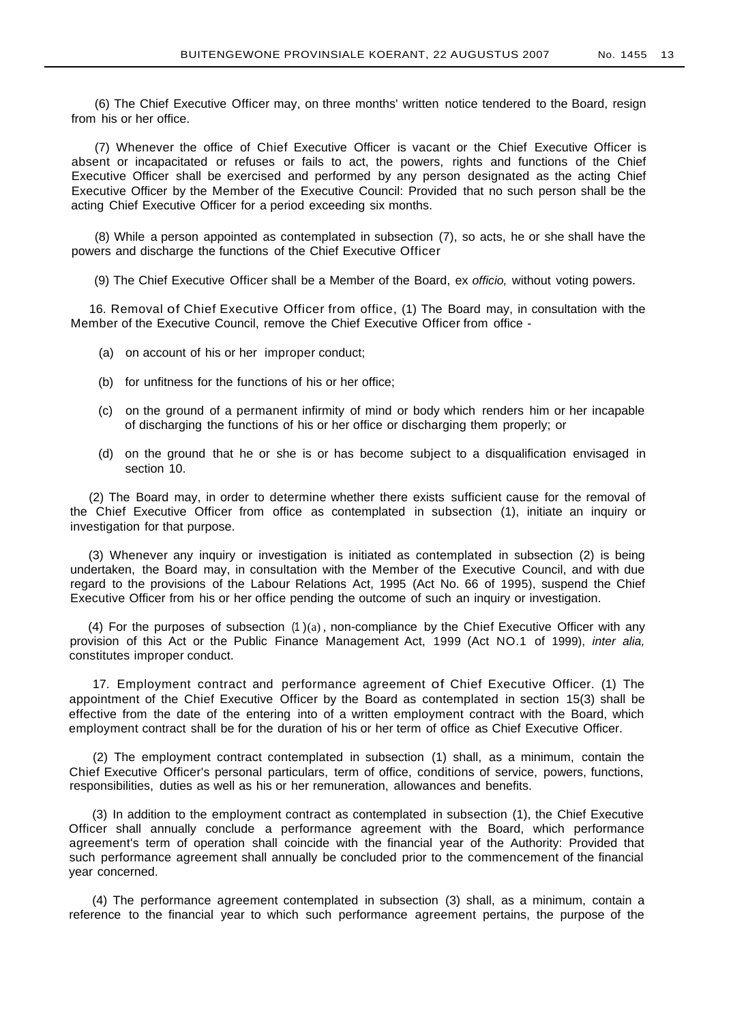(6) The Chief Executive Officer may, on three months' written notice tendered to the Board, resign from his or her office.

(7) Whenever the office of Chief Executive Officer is vacant or the Chief Executive Officer is absent or incapacitated or refuses or fails to act, the powers, rights and functions of the Chief Executive Officer shall be exercised and performed by any person designated as the acting Chief Executive Officer by the Member of the Executive Council: Provided that no such person shall be the acting Chief Executive Officer for a period exceeding six months.

(8) While a person appointed as contemplated in subsection (7), so acts, he or she shall have the powers and discharge the functions of the Chief Executive Officer

(9) The Chief Executive Officer shall be a Member of the Board, ex officio, without voting powers.

16. Removal of Chief Executive Officer from office, (1) The Board may, in consultation with the Member of the Executive Council, remove the Chief Executive Officer from office -

- (a) on account of his or her improper conduct;
- (b) for unfitness for the functions of his or her office;
- (c) on the ground of a permanent infirmity of mind or body which renders him or her incapable of discharging the functions of his or her office or discharging them properly; or
- (d) on the ground that he or she is or has become subject to a disqualification envisaged in section 10.

(2) The Board may, in order to determine whether there exists sufficient cause for the removal of the Chief Executive Officer from office as contemplated in subsection (1), initiate an inquiry or investigation for that purpose.

(3) Whenever any inquiry or investigation is initiated as contemplated in subsection (2) is being undertaken, the Board may, in consultation with the Member of the Executive Council, and with due regard to the provisions of the Labour Relations Act, 1995 (Act No. 66 of 1995), suspend the Chief Executive Officer from his or her office pending the outcome of such an inquiry or investigation.

(4) For the purposes of subsection  $(1)(a)$ , non-compliance by the Chief Executive Officer with any provision of this Act or the Public Finance Management Act, 1999 (Act NO.1 of 1999), inter alia, constitutes improper conduct.

17. Employment contract and performance agreement of Chief Executive Officer. (1) The appointment of the Chief Executive Officer by the Board as contemplated in section 15(3) shall be effective from the date of the entering into of a written employment contract with the Board, which employment contract shall be for the duration of his or her term of office as Chief Executive Officer.

(2) The employment contract contemplated in subsection (1) shall, as a minimum, contain the Chief Executive Officer's personal particulars, term of office, conditions of service, powers, functions, responsibilities, duties as well as his or her remuneration, allowances and benefits.

(3) In addition to the employment contract as contemplated in subsection (1), the Chief Executive Officer shall annually conclude a performance agreement with the Board, which performance agreement's term of operation shall coincide with the financial year of the Authority: Provided that such performance agreement shall annually be concluded prior to the commencement of the financial year concerned.

(4) The performance agreement contemplated in subsection (3) shall, as a minimum, contain a reference to the financial year to which such performance agreement pertains, the purpose of the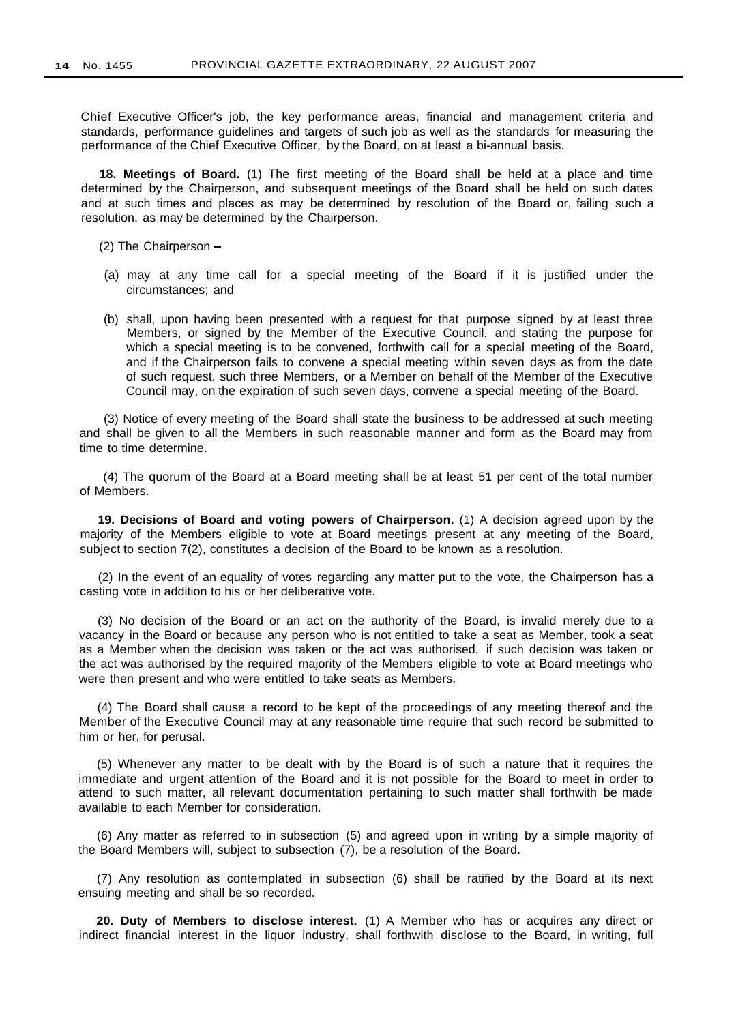Chief Executive Officer's job, the key performance areas, financial and management criteria and standards, performance guidelines and targets of such job as well as the standards for measuring the performance of the Chief Executive Officer, by the Board, on at least a bi-annual basis.

**18. Meetings of Board.** (1) The first meeting of the Board shall be held at a place and time determined by the Chairperson, and subsequent meetings of the Board shall be held on such dates and at such times and places as may be determined by resolution of the Board or, failing such a resolution, as may be determined by the Chairperson.

- (2) The Chairperson  $-$
- (a) may at any time call for a special meeting of the Board if it is justified under the circumstances; and
- (b) shall, upon having been presented with a request for that purpose signed by at least three Members, or signed by the Member of the Executive Council, and stating the purpose for which a special meeting is to be convened, forthwith call for a special meeting of the Board, and if the Chairperson fails to convene a special meeting within seven days as from the date of such request, such three Members, or a Member on behalf of the Member of the Executive Council may, on the expiration of such seven days, convene a special meeting of the Board.

(3) Notice of every meeting of the Board shall state the business to be addressed at such meeting and shall be given to all the Members in such reasonable manner and form as the Board may from time to time determine.

(4) The quorum of the Board at a Board meeting shall be at least 51 per cent of the total number of Members.

**19. Decisions of Board and voting powers of Chairperson.** (1) A decision agreed upon by the majority of the Members eligible to vote at Board meetings present at any meeting of the Board, subject to section 7(2), constitutes a decision of the Board to be known as a resolution.

(2) In the event of an equality of votes regarding any matter put to the vote, the Chairperson has a casting vote in addition to his or her deliberative vote.

(3) No decision of the Board or an act on the authority of the Board, is invalid merely due to a vacancy in the Board or because any person who is not entitled to take a seat as Member, took a seat as a Member when the decision was taken or the act was authorised, if such decision was taken or the act was authorised by the required majority of the Members eligible to vote at Board meetings who were then present and who were entitled to take seats as Members.

(4) The Board shall cause a record to be kept of the proceedings of any meeting thereof and the Member of the Executive Council may at any reasonable time require that such record be submitted to him or her, for perusal.

(5) Whenever any matter to be dealt with by the Board is of such a nature that it requires the immediate and urgent attention of the Board and it is not possible for the Board to meet in order to attend to such matter, all relevant documentation pertaining to such matter shall forthwith be made available to each Member for consideration.

(6) Any matter as referred to in subsection (5) and agreed upon in writing by a simple majority of the Board Members will, subject to subsection (7), be a resolution of the Board.

(7) Any resolution as contemplated in subsection (6) shall be ratified by the Board at its next ensuing meeting and shall be so recorded.

**20. Duty of Members to disclose interest.** (1) A Member who has or acquires any direct or indirect financial interest in the liquor industry, shall forthwith disclose to the Board, in writing, full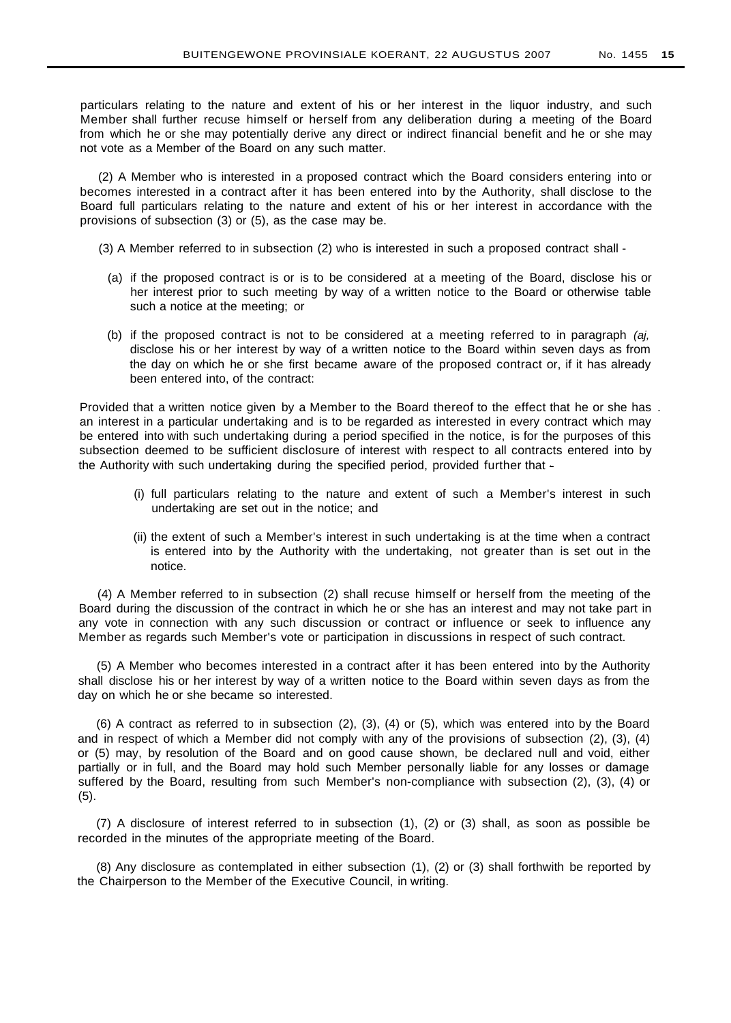particulars relating to the nature and extent of his or her interest in the liquor industry, and such Member shall further recuse himself or herself from any deliberation during a meeting of the Board from which he or she may potentially derive any direct or indirect financial benefit and he or she may not vote as a Member of the Board on any such matter.

(2) A Member who is interested in a proposed contract which the Board considers entering into or becomes interested in a contract after it has been entered into by the Authority, shall disclose to the Board full particulars relating to the nature and extent of his or her interest in accordance with the provisions of subsection (3) or (5), as the case may be.

- (3) A Member referred to in subsection (2) who is interested in such a proposed contract shall
	- (a) if the proposed contract is or is to be considered at a meeting of the Board, disclose his or her interest prior to such meeting by way of a written notice to the Board or otherwise table such a notice at the meeting; or
	- (b) if the proposed contract is not to be considered at a meeting referred to in paragraph (aj, disclose his or her interest by way of a written notice to the Board within seven days as from the day on which he or she first became aware of the proposed contract or, if it has already been entered into, of the contract:

Provided that a written notice given by a Member to the Board thereof to the effect that he or she has . an interest in a particular undertaking and is to be regarded as interested in every contract which may be entered into with such undertaking during a period specified in the notice, is for the purposes of this subsection deemed to be sufficient disclosure of interest with respect to all contracts entered into by the Authority with such undertaking during the specified period, provided further that -

- (i) full particulars relating to the nature and extent of such a Member's interest in such undertaking are set out in the notice; and
- (ii) the extent of such a Member's interest in such undertaking is at the time when a contract is entered into by the Authority with the undertaking, not greater than is set out in the notice.

(4) A Member referred to in subsection (2) shall recuse himself or herself from the meeting of the Board during the discussion of the contract in which he or she has an interest and may not take part in any vote in connection with any such discussion or contract or influence or seek to influence any Member as regards such Member's vote or participation in discussions in respect of such contract.

(5) A Member who becomes interested in a contract after it has been entered into by the Authority shall disclose his or her interest by way of a written notice to the Board within seven days as from the day on which he or she became so interested.

(6) A contract as referred to in subsection (2), (3), (4) or (5), which was entered into by the Board and in respect of which a Member did not comply with any of the provisions of subsection (2), (3), (4) or (5) may, by resolution of the Board and on good cause shown, be declared null and void, either partially or in full, and the Board may hold such Member personally liable for any losses or damage suffered by the Board, resulting from such Member's non-compliance with subsection (2), (3), (4) or (5).

(7) A disclosure of interest referred to in subsection (1), (2) or (3) shall, as soon as possible be recorded in the minutes of the appropriate meeting of the Board.

(8) Any disclosure as contemplated in either subsection (1), (2) or (3) shall forthwith be reported by the Chairperson to the Member of the Executive Council, in writing.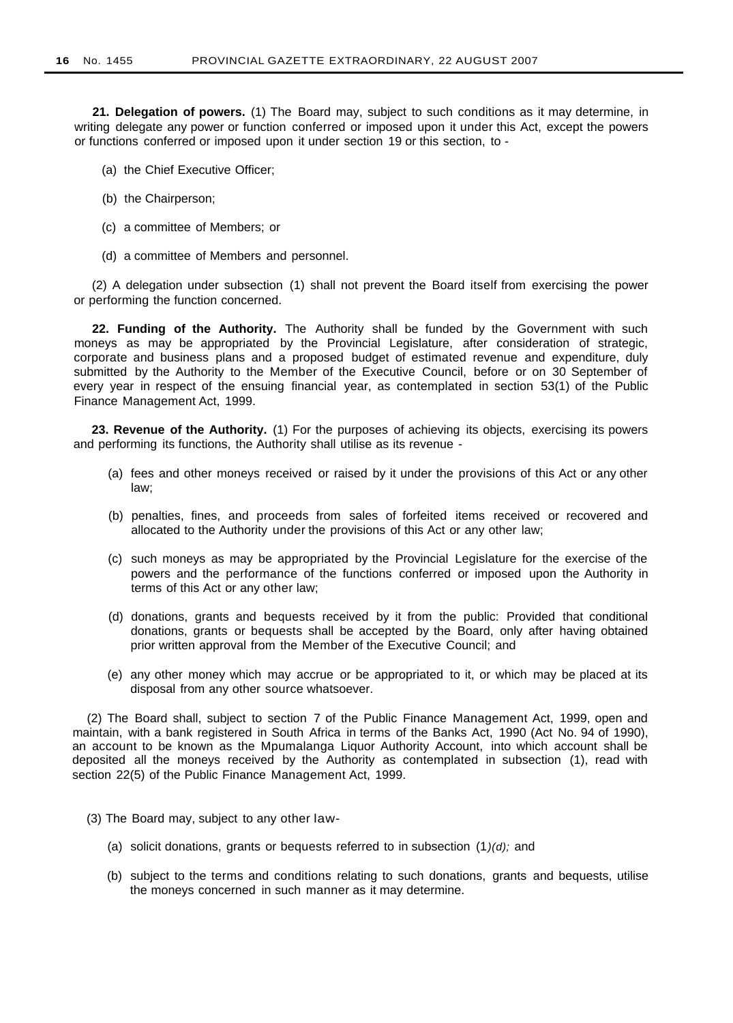**21. Delegation of powers.** (1) The Board may, subject to such conditions as it may determine, in writing delegate any power or function conferred or imposed upon it under this Act, except the powers or functions conferred or imposed upon it under section 19 or this section, to -

- (a) the Chief Executive Officer;
- (b) the Chairperson;
- (c) a committee of Members; or
- (d) a committee of Members and personnel.

(2) A delegation under subsection (1) shall not prevent the Board itself from exercising the power or performing the function concerned.

**22. Funding of the Authority.** The Authority shall be funded by the Government with such moneys as may be appropriated by the Provincial Legislature, after consideration of strategic, corporate and business plans and a proposed budget of estimated revenue and expenditure, duly submitted by the Authority to the Member of the Executive Council, before or on 30 September of every year in respect of the ensuing financial year, as contemplated in section 53(1) of the Public Finance Management Act, 1999.

**23. Revenue of the Authority.** (1) For the purposes of achieving its objects, exercising its powers and performing its functions, the Authority shall utilise as its revenue -

- (a) fees and other moneys received or raised by it under the provisions of this Act or any other law;
- (b) penalties, fines, and proceeds from sales of forfeited items received or recovered and allocated to the Authority under the provisions of this Act or any other law;
- (c) such moneys as may be appropriated by the Provincial Legislature for the exercise of the powers and the performance of the functions conferred or imposed upon the Authority in terms of this Act or any other law;
- (d) donations, grants and bequests received by it from the public: Provided that conditional donations, grants or bequests shall be accepted by the Board, only after having obtained prior written approval from the Member of the Executive Council; and
- (e) any other money which may accrue or be appropriated to it, or which may be placed at its disposal from any other source whatsoever.

(2) The Board shall, subject to section 7 of the Public Finance Management Act, 1999, open and maintain, with a bank registered in South Africa in terms of the Banks Act, 1990 (Act No. 94 of 1990), an account to be known as the Mpumalanga Liquor Authority Account, into which account shall be deposited all the moneys received by the Authority as contemplated in subsection (1), read with section 22(5) of the Public Finance Management Act, 1999.

- (3) The Board may, subject to any other law-
	- (a) solicit donations, grants or bequests referred to in subsection  $(1)(d)$ ; and
	- (b) subject to the terms and conditions relating to such donations, grants and bequests, utilise the moneys concerned in such manner as it may determine.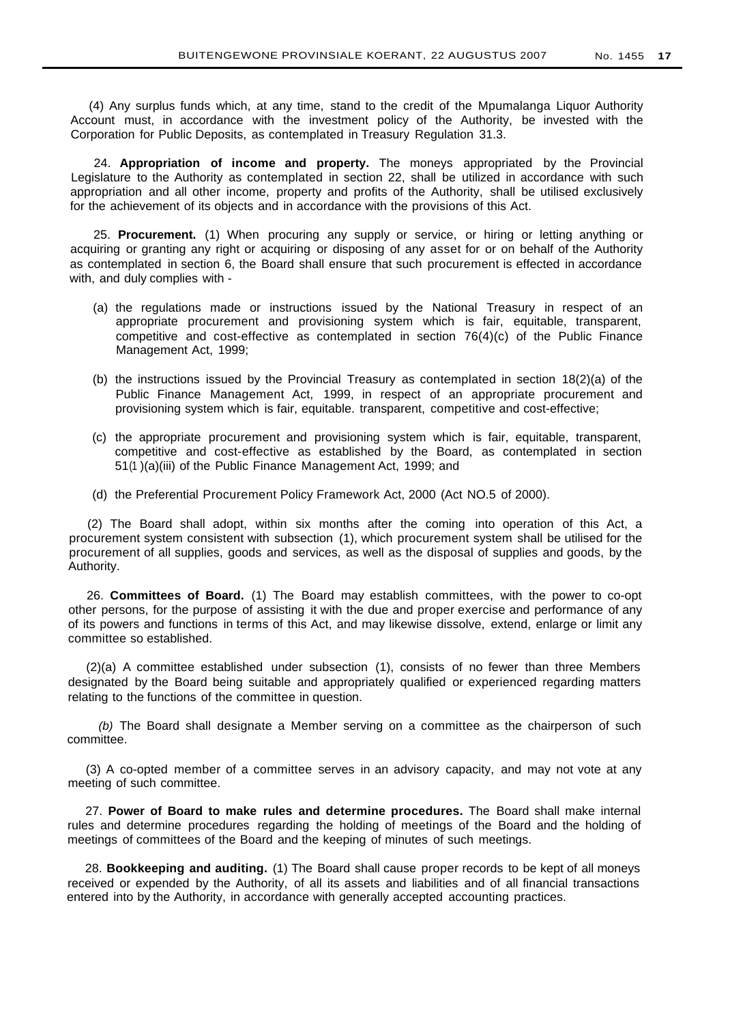(4) Any surplus funds which, at any time, stand to the credit of the Mpumalanga Liquor Authority Account must, in accordance with the investment policy of the Authority, be invested with the Corporation for Public Deposits, as contemplated in Treasury Regulation 31.3.

24. **Appropriation of income and property.** The moneys appropriated by the Provincial Legislature to the Authority as contemplated in section 22, shall be utilized in accordance with such appropriation and all other income, property and profits of the Authority, shall be utilised exclusively for the achievement of its objects and in accordance with the provisions of this Act.

25. **Procurement.** (1) When procuring any supply or service, or hiring or letting anything or acquiring or granting any right or acquiring or disposing of any asset for or on behalf of the Authority as contemplated in section 6, the Board shall ensure that such procurement is effected in accordance with, and duly complies with -

- (a) the regulations made or instructions issued by the National Treasury in respect of an appropriate procurement and provisioning system which is fair, equitable, transparent, competitive and cost-effective as contemplated in section 76(4)(c) of the Public Finance Management Act, 1999;
- (b) the instructions issued by the Provincial Treasury as contemplated in section 18(2)(a) of the Public Finance Management Act, 1999, in respect of an appropriate procurement and provisioning system which is fair, equitable. transparent, competitive and cost-effective;
- (c) the appropriate procurement and provisioning system which is fair, equitable, transparent, competitive and cost-effective as established by the Board, as contemplated in section 51(1 )(a)(iii) of the Public Finance Management Act, 1999; and
- (d) the Preferential Procurement Policy Framework Act, 2000 (Act NO.5 of 2000).

(2) The Board shall adopt, within six months after the coming into operation of this Act, a procurement system consistent with subsection (1), which procurement system shall be utilised for the procurement of all supplies, goods and services, as well as the disposal of supplies and goods, by the Authority.

26. **Committees of Board.** (1) The Board may establish committees, with the power to co-opt other persons, for the purpose of assisting it with the due and proper exercise and performance of any of its powers and functions in terms of this Act, and may likewise dissolve, extend, enlarge or limit any committee so established.

(2)(a) A committee established under subsection (1), consists of no fewer than three Members designated by the Board being suitable and appropriately qualified or experienced regarding matters relating to the functions of the committee in question.

(b) The Board shall designate a Member serving on a committee as the chairperson of such committee.

(3) A co-opted member of a committee serves in an advisory capacity, and may not vote at any meeting of such committee.

27. **Power of Board to make rules and determine procedures.** The Board shall make internal rules and determine procedures regarding the holding of meetings of the Board and the holding of meetings of committees of the Board and the keeping of minutes of such meetings.

28. **Bookkeeping and auditing.** (1) The Board shall cause proper records to be kept of all moneys received or expended by the Authority, of all its assets and liabilities and of all financial transactions entered into by the Authority, in accordance with generally accepted accounting practices.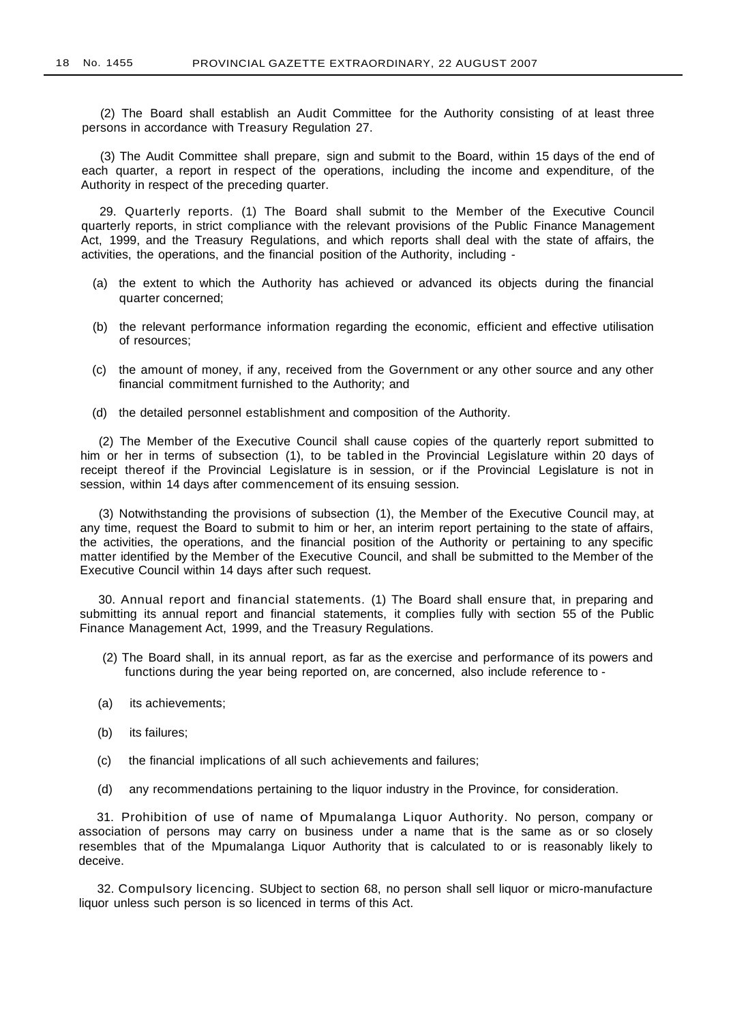(2) The Board shall establish an Audit Committee for the Authority consisting of at least three persons in accordance with Treasury Regulation 27.

(3) The Audit Committee shall prepare, sign and submit to the Board, within 15 days of the end of each quarter, a report in respect of the operations, including the income and expenditure, of the Authority in respect of the preceding quarter.

29. Quarterly reports. (1) The Board shall submit to the Member of the Executive Council quarterly reports, in strict compliance with the relevant provisions of the Public Finance Management Act, 1999, and the Treasury Regulations, and which reports shall deal with the state of affairs, the activities, the operations, and the financial position of the Authority, including -

- (a) the extent to which the Authority has achieved or advanced its objects during the financial quarter concerned;
- (b) the relevant performance information regarding the economic, efficient and effective utilisation of resources;
- (c) the amount of money, if any, received from the Government or any other source and any other financial commitment furnished to the Authority; and
- (d) the detailed personnel establishment and composition of the Authority.

(2) The Member of the Executive Council shall cause copies of the quarterly report submitted to him or her in terms of subsection (1), to be tabled in the Provincial Legislature within 20 days of receipt thereof if the Provincial Legislature is in session, or if the Provincial Legislature is not in session, within 14 days after commencement of its ensuing session.

(3) Notwithstanding the provisions of subsection (1), the Member of the Executive Council may, at any time, request the Board to submit to him or her, an interim report pertaining to the state of affairs, the activities, the operations, and the financial position of the Authority or pertaining to any specific matter identified by the Member of the Executive Council, and shall be submitted to the Member of the Executive Council within 14 days after such request.

30. Annual report and financial statements. (1) The Board shall ensure that, in preparing and submitting its annual report and financial statements, it complies fully with section 55 of the Public Finance Management Act, 1999, and the Treasury Regulations.

- (2) The Board shall, in its annual report, as far as the exercise and performance of its powers and functions during the year being reported on, are concerned, also include reference to -
- (a) its achievements;
- (b) its failures;
- (c) the financial implications of all such achievements and failures;
- (d) any recommendations pertaining to the liquor industry in the Province, for consideration.

31. Prohibition of use of name of Mpumalanga Liquor Authority. No person, company or association of persons may carry on business under a name that is the same as or so closely resembles that of the Mpumalanga Liquor Authority that is calculated to or is reasonably likely to deceive.

32. Compulsory licencing. SUbject to section 68, no person shall sell liquor or micro-manufacture liquor unless such person is so licenced in terms of this Act.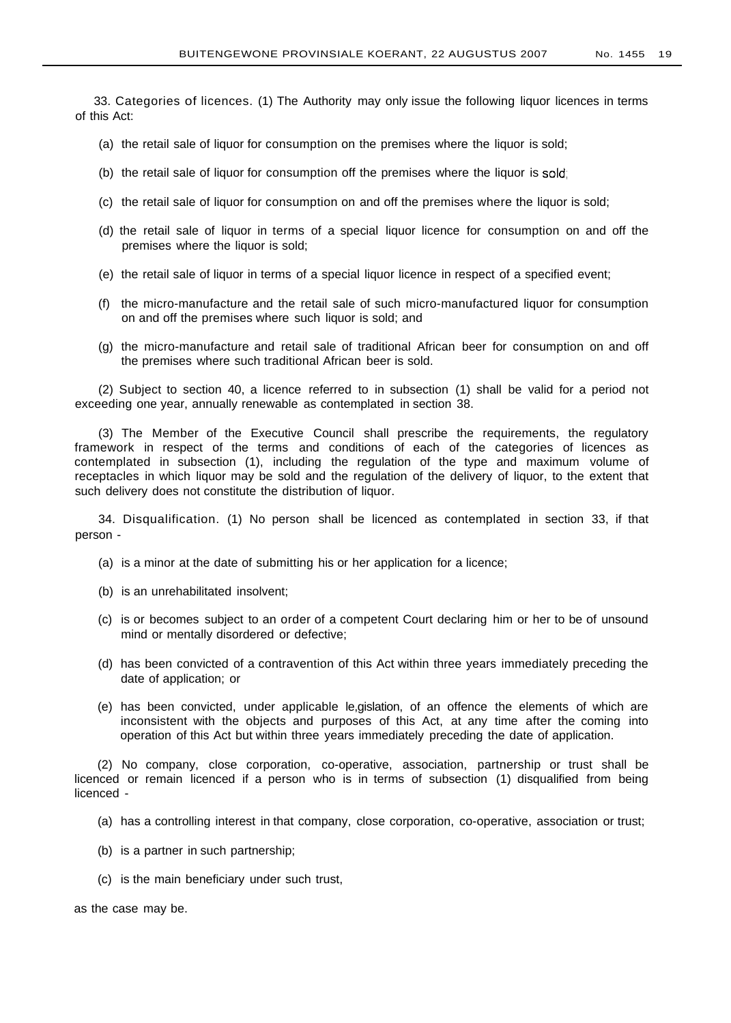33. Categories of licences. (1) The Authority may only issue the following liquor licences in terms of this Act:

- (a) the retail sale of liquor for consumption on the premises where the liquor is sold;
- (b) the retail sale of liquor for consumption off the premises where the liquor is sold;
- (c) the retail sale of liquor for consumption on and off the premises where the liquor is sold;
- (d) the retail sale of liquor in terms of a special liquor licence for consumption on and off the premises where the liquor is sold;
- (e) the retail sale of liquor in terms of a special liquor licence in respect of a specified event;
- (f) the micro-manufacture and the retail sale of such micro-manufactured liquor for consumption on and off the premises where such liquor is sold; and
- (g) the micro-manufacture and retail sale of traditional African beer for consumption on and off the premises where such traditional African beer is sold.

(2) Subject to section 40, a licence referred to in subsection (1) shall be valid for a period not exceeding one year, annually renewable as contemplated in section 38.

(3) The Member of the Executive Council shall prescribe the requirements, the regulatory framework in respect of the terms and conditions of each of the categories of licences as contemplated in subsection (1), including the regulation of the type and maximum volume of receptacles in which liquor may be sold and the regulation of the delivery of liquor, to the extent that such delivery does not constitute the distribution of liquor.

34. Disqualification. (1) No person shall be licenced as contemplated in section 33, if that person -

- (a) is a minor at the date of submitting his or her application for a licence;
- (b) is an unrehabilitated insolvent;
- (c) is or becomes subject to an order of a competent Court declaring him or her to be of unsound mind or mentally disordered or defective;
- (d) has been convicted of a contravention of this Act within three years immediately preceding the date of application; or
- (e) has been convicted, under applicable le,gislation, of an offence the elements of which are inconsistent with the objects and purposes of this Act, at any time after the coming into operation of this Act but within three years immediately preceding the date of application.

(2) No company, close corporation, co-operative, association, partnership or trust shall be licenced or remain licenced if a person who is in terms of subsection (1) disqualified from being licenced -

- (a) has a controlling interest in that company, close corporation, co-operative, association or trust;
- (b) is a partner in such partnership;
- (c) is the main beneficiary under such trust,

as the case may be.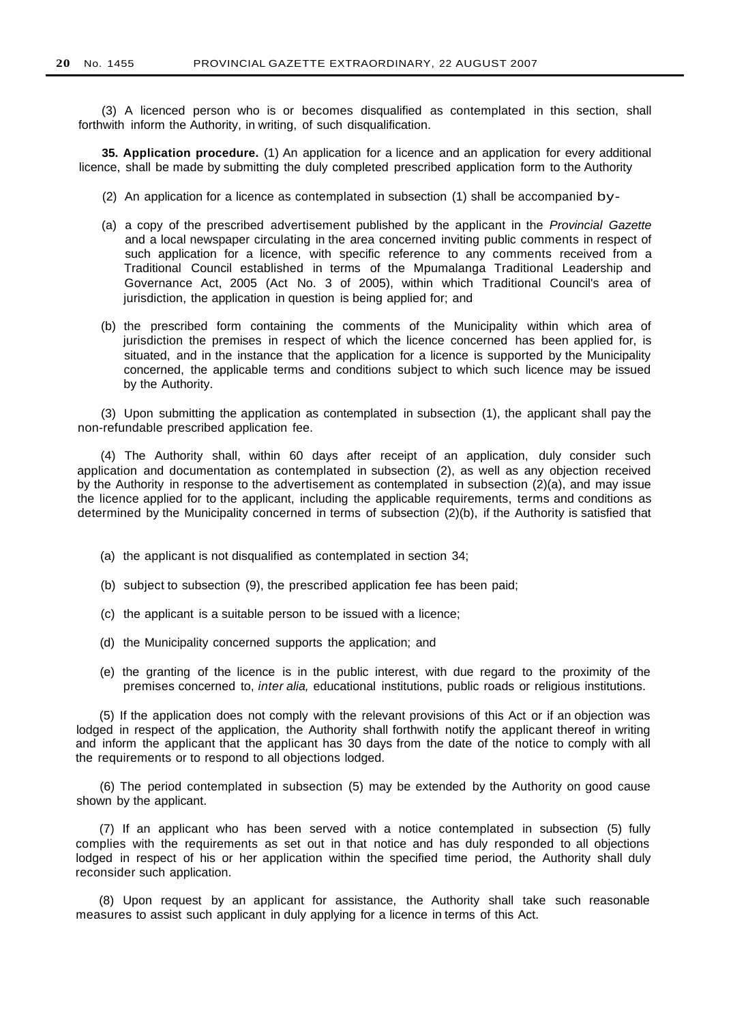(3) A licenced person who is or becomes disqualified as contemplated in this section, shall forthwith inform the Authority, in writing, of such disqualification.

**35. Application procedure.** (1) An application for a licence and an application for every additional licence, shall be made by submitting the duly completed prescribed application form to the Authority

- (2) An application for a licence as contemplated in subsection (1) shall be accompanied by-
- (a) a copy of the prescribed advertisement published by the applicant in the Provincial Gazette and a local newspaper circulating in the area concerned inviting public comments in respect of such application for a licence, with specific reference to any comments received from a Traditional Council established in terms of the Mpumalanga Traditional Leadership and Governance Act, 2005 (Act No. 3 of 2005), within which Traditional Council's area of jurisdiction, the application in question is being applied for; and
- (b) the prescribed form containing the comments of the Municipality within which area of jurisdiction the premises in respect of which the licence concerned has been applied for, is situated, and in the instance that the application for a licence is supported by the Municipality concerned, the applicable terms and conditions subject to which such licence may be issued by the Authority.

(3) Upon submitting the application as contemplated in subsection (1), the applicant shall pay the non-refundable prescribed application fee.

(4) The Authority shall, within 60 days after receipt of an application, duly consider such application and documentation as contemplated in subsection (2), as well as any objection received by the Authority in response to the advertisement as contemplated in subsection (2)(a), and may issue the licence applied for to the applicant, including the applicable requirements, terms and conditions as determined by the Municipality concerned in terms of subsection (2)(b), if the Authority is satisfied that

- (a) the applicant is not disqualified as contemplated in section 34;
- (b) subject to subsection (9), the prescribed application fee has been paid;
- (c) the applicant is a suitable person to be issued with a licence;
- (d) the Municipality concerned supports the application; and
- (e) the granting of the licence is in the public interest, with due regard to the proximity of the premises concerned to, inter alia, educational institutions, public roads or religious institutions.

(5) If the application does not comply with the relevant provisions of this Act or if an objection was lodged in respect of the application, the Authority shall forthwith notify the applicant thereof in writing and inform the applicant that the applicant has 30 days from the date of the notice to comply with all the requirements or to respond to all objections lodged.

(6) The period contemplated in subsection (5) may be extended by the Authority on good cause shown by the applicant.

(7) If an applicant who has been served with a notice contemplated in subsection (5) fully complies with the requirements as set out in that notice and has duly responded to all objections lodged in respect of his or her application within the specified time period, the Authority shall duly reconsider such application.

(8) Upon request by an applicant for assistance, the Authority shall take such reasonable measures to assist such applicant in duly applying for a licence in terms of this Act.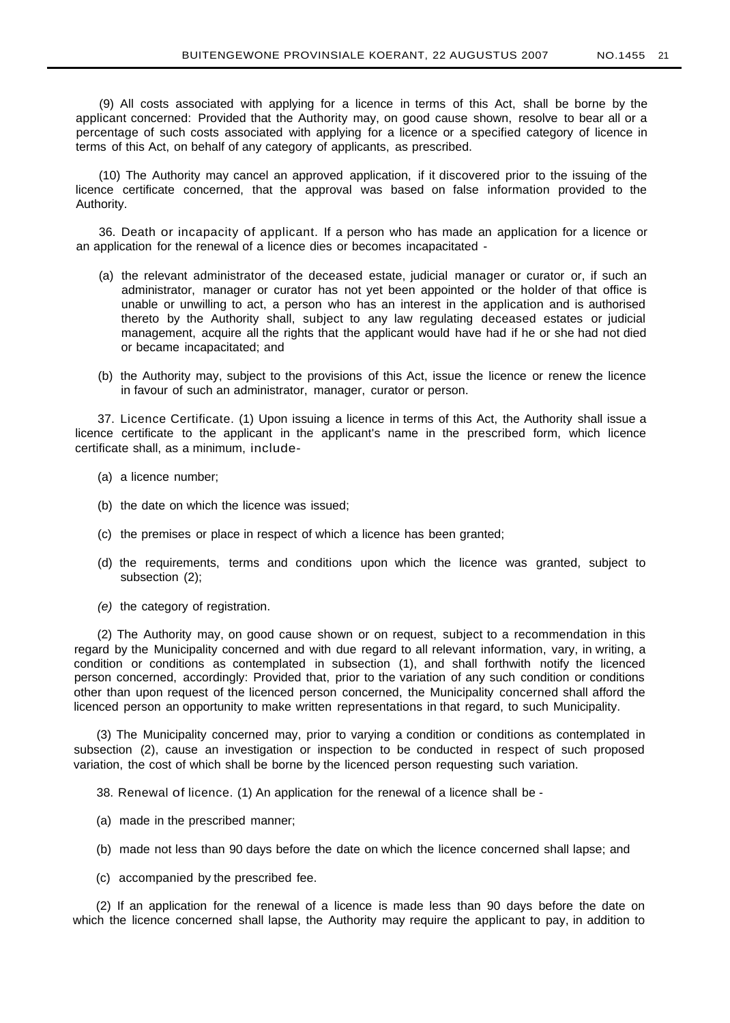(9) All costs associated with applying for a licence in terms of this Act, shall be borne by the applicant concerned: Provided that the Authority may, on good cause shown, resolve to bear all or a percentage of such costs associated with applying for a licence or a specified category of licence in terms of this Act, on behalf of any category of applicants, as prescribed.

(10) The Authority may cancel an approved application, if it discovered prior to the issuing of the licence certificate concerned, that the approval was based on false information provided to the Authority.

36. Death or incapacity of applicant. If a person who has made an application for a licence or an application for the renewal of a licence dies or becomes incapacitated -

- (a) the relevant administrator of the deceased estate, judicial manager or curator or, if such an administrator, manager or curator has not yet been appointed or the holder of that office is unable or unwilling to act, a person who has an interest in the application and is authorised thereto by the Authority shall, subject to any law regulating deceased estates or judicial management, acquire all the rights that the applicant would have had if he or she had not died or became incapacitated; and
- (b) the Authority may, subject to the provisions of this Act, issue the licence or renew the licence in favour of such an administrator, manager, curator or person.

37. Licence Certificate. (1) Upon issuing a licence in terms of this Act, the Authority shall issue a licence certificate to the applicant in the applicant's name in the prescribed form, which licence certificate shall, as a minimum, include-

- (a) a licence number;
- (b) the date on which the licence was issued;
- (c) the premises or place in respect of which a licence has been granted;
- (d) the requirements, terms and conditions upon which the licence was granted, subject to subsection (2);
- (e) the category of registration.

(2) The Authority may, on good cause shown or on request, subject to a recommendation in this regard by the Municipality concerned and with due regard to all relevant information, vary, in writing, a condition or conditions as contemplated in subsection (1), and shall forthwith notify the licenced person concerned, accordingly: Provided that, prior to the variation of any such condition or conditions other than upon request of the licenced person concerned, the Municipality concerned shall afford the licenced person an opportunity to make written representations in that regard, to such Municipality.

(3) The Municipality concerned may, prior to varying a condition or conditions as contemplated in subsection (2), cause an investigation or inspection to be conducted in respect of such proposed variation, the cost of which shall be borne by the licenced person requesting such variation.

38. Renewal of licence. (1) An application for the renewal of a licence shall be -

- (a) made in the prescribed manner;
- (b) made not less than 90 days before the date on which the licence concerned shall lapse; and
- (c) accompanied by the prescribed fee.

(2) If an application for the renewal of a licence is made less than 90 days before the date on which the licence concerned shall lapse, the Authority may require the applicant to pay, in addition to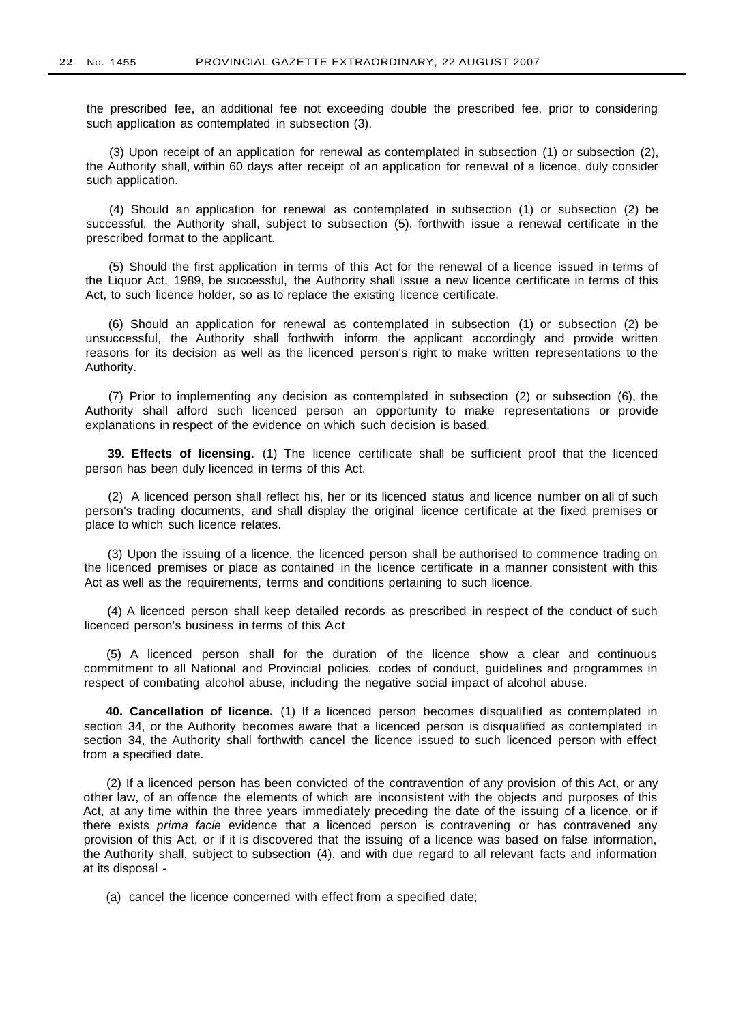the prescribed fee, an additional fee not exceeding double the prescribed fee, prior to considering such application as contemplated in subsection (3).

(3) Upon receipt of an application for renewal as contemplated in subsection (1) or subsection (2), the Authority shall, within 60 days after receipt of an application for renewal of a licence, duly consider such application.

(4) Should an application for renewal as contemplated in subsection (1) or subsection (2) be successful, the Authority shall, subject to subsection (5), forthwith issue a renewal certificate in the prescribed format to the applicant.

(5) Should the first application in terms of this Act for the renewal of a licence issued in terms of the Liquor Act, 1989, be successful, the Authority shall issue a new licence certificate in terms of this Act, to such licence holder, so as to replace the existing licence certificate.

(6) Should an application for renewal as contemplated in subsection (1) or subsection (2) be unsuccessful, the Authority shall forthwith inform the applicant accordingly and provide written reasons for its decision as well as the licenced person's right to make written representations to the Authority.

(7) Prior to implementing any decision as contemplated in subsection (2) or subsection (6), the Authority shall afford such licenced person an opportunity to make representations or provide explanations in respect of the evidence on which such decision is based.

**39. Effects of licensing.** (1) The licence certificate shall be sufficient proof that the licenced person has been duly licenced in terms of this Act.

(2) A licenced person shall reflect his, her or its licenced status and licence number on all of such person's trading documents, and shall display the original licence certificate at the fixed premises or place to which such licence relates.

(3) Upon the issuing of a licence, the licenced person shall be authorised to commence trading on the licenced premises or place as contained in the licence certificate in a manner consistent with this Act as well as the requirements, terms and conditions pertaining to such licence.

(4) A licenced person shall keep detailed records as prescribed in respect of the conduct of such licenced person's business in terms of this Act

(5) A licenced person shall for the duration of the licence show a clear and continuous commitment to all National and Provincial policies, codes of conduct, guidelines and programmes in respect of combating alcohol abuse, including the negative social impact of alcohol abuse.

**40. Cancellation of licence.** (1) If a licenced person becomes disqualified as contemplated in section 34, or the Authority becomes aware that a licenced person is disqualified as contemplated in section 34, the Authority shall forthwith cancel the licence issued to such licenced person with effect from a specified date.

(2) If a licenced person has been convicted of the contravention of any provision of this Act, or any other law, of an offence the elements of which are inconsistent with the objects and purposes of this Act, at any time within the three years immediately preceding the date of the issuing of a licence, or if there exists prima facie evidence that a licenced person is contravening or has contravened any provision of this Act, or if it is discovered that the issuing of a licence was based on false information, the Authority shall, subject to subsection (4), and with due regard to all relevant facts and information at its disposal -

(a) cancel the licence concerned with effect from a specified date;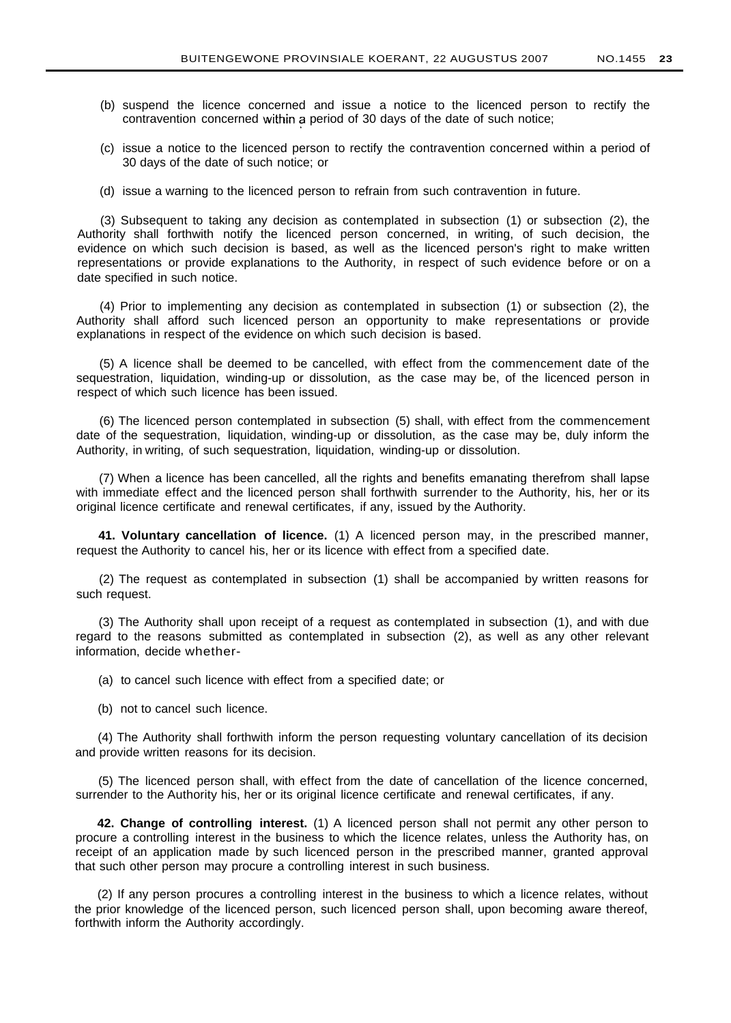- (b) suspend the licence concerned and issue a notice to the licenced person to rectify the contravention concerned within a period of 30 days of the date of such notice;
- (c) issue a notice to the licenced person to rectify the contravention concerned within a period of 30 days of the date of such notice; or
- (d) issue a warning to the licenced person to refrain from such contravention in future.

(3) Subsequent to taking any decision as contemplated in subsection (1) or subsection (2), the Authority shall forthwith notify the licenced person concerned, in writing, of such decision, the evidence on which such decision is based, as well as the licenced person's right to make written representations or provide explanations to the Authority, in respect of such evidence before or on a date specified in such notice.

(4) Prior to implementing any decision as contemplated in subsection (1) or subsection (2), the Authority shall afford such licenced person an opportunity to make representations or provide explanations in respect of the evidence on which such decision is based.

(5) A licence shall be deemed to be cancelled, with effect from the commencement date of the sequestration, liquidation, winding-up or dissolution, as the case may be, of the licenced person in respect of which such licence has been issued.

(6) The licenced person contemplated in subsection (5) shall, with effect from the commencement date of the sequestration, liquidation, winding-up or dissolution, as the case may be, duly inform the Authority, in writing, of such sequestration, liquidation, winding-up or dissolution.

(7) When a licence has been cancelled, all the rights and benefits emanating therefrom shall lapse with immediate effect and the licenced person shall forthwith surrender to the Authority, his, her or its original licence certificate and renewal certificates, if any, issued by the Authority.

**41. Voluntary cancellation of licence.** (1) A licenced person may, in the prescribed manner, request the Authority to cancel his, her or its licence with effect from a specified date.

(2) The request as contemplated in subsection (1) shall be accompanied by written reasons for such request.

(3) The Authority shall upon receipt of a request as contemplated in subsection (1), and with due regard to the reasons submitted as contemplated in subsection (2), as well as any other relevant information, decide whether-

(a) to cancel such licence with effect from a specified date; or

(b) not to cancel such licence.

(4) The Authority shall forthwith inform the person requesting voluntary cancellation of its decision and provide written reasons for its decision.

(5) The licenced person shall, with effect from the date of cancellation of the licence concerned, surrender to the Authority his, her or its original licence certificate and renewal certificates, if any.

**42. Change of controlling interest.** (1) A licenced person shall not permit any other person to procure a controlling interest in the business to which the licence relates, unless the Authority has, on receipt of an application made by such licenced person in the prescribed manner, granted approval that such other person may procure a controlling interest in such business.

(2) If any person procures a controlling interest in the business to which a licence relates, without the prior knowledge of the licenced person, such licenced person shall, upon becoming aware thereof, forthwith inform the Authority accordingly.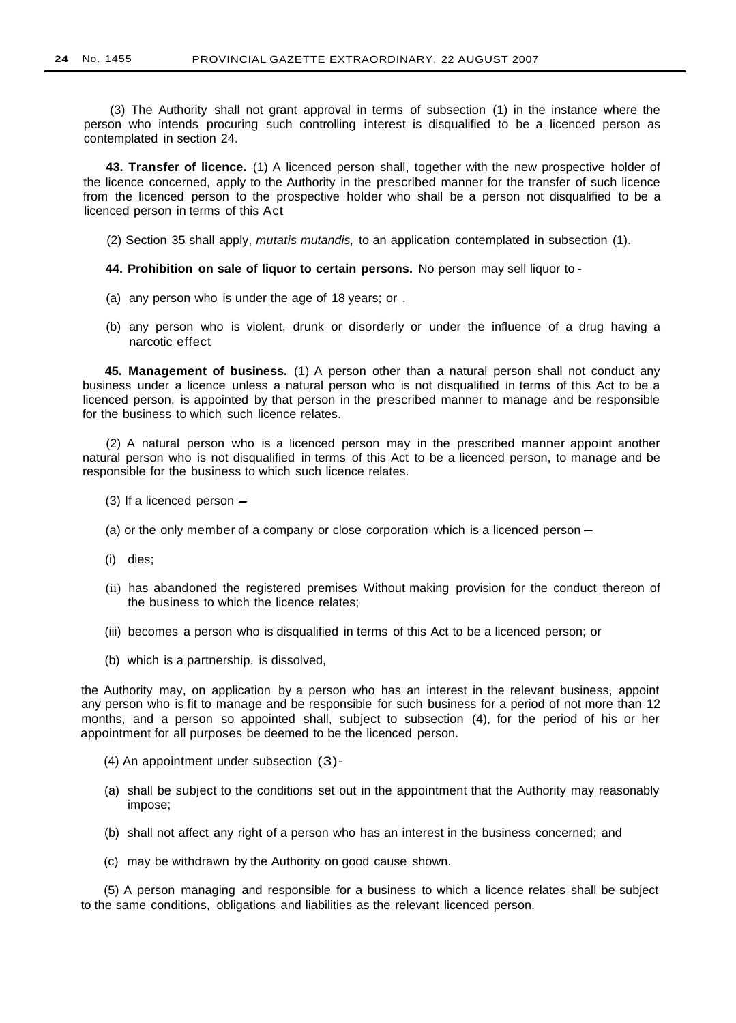(3) The Authority shall not grant approval in terms of subsection (1) in the instance where the person who intends procuring such controlling interest is disqualified to be a licenced person as contemplated in section 24.

**43. Transfer of licence.** (1) A licenced person shall, together with the new prospective holder of the licence concerned, apply to the Authority in the prescribed manner for the transfer of such licence from the licenced person to the prospective holder who shall be a person not disqualified to be a licenced person in terms of this Act

(2) Section 35 shall apply, mutatis mutandis, to an application contemplated in subsection (1).

**44. Prohibition on sale of liquor to certain persons.** No person may sell liquor to -

- (a) any person who is under the age of 18 years; or .
- (b) any person who is violent, drunk or disorderly or under the influence of a drug having a narcotic effect

**45. Management of business.** (1) A person other than a natural person shall not conduct any business under a licence unless a natural person who is not disqualified in terms of this Act to be a licenced person, is appointed by that person in the prescribed manner to manage and be responsible for the business to which such licence relates.

(2) A natural person who is a licenced person may in the prescribed manner appoint another natural person who is not disqualified in terms of this Act to be a licenced person, to manage and be responsible for the business to which such licence relates.

- $(3)$  If a licenced person  $-$
- (a) or the only member of a company or close corporation which is a licenced person  $-$
- (i) dies;
- (ii) has abandoned the registered premises Without making provision for the conduct thereon of the business to which the licence relates;
- (iii) becomes a person who is disqualified in terms of this Act to be a licenced person; or
- (b) which is a partnership, is dissolved,

the Authority may, on application by a person who has an interest in the relevant business, appoint any person who is fit to manage and be responsible for such business for a period of not more than 12 months, and a person so appointed shall, subject to subsection (4), for the period of his or her appointment for all purposes be deemed to be the licenced person.

- (4) An appointment under subsection (3)-
- (a) shall be subject to the conditions set out in the appointment that the Authority may reasonably impose;
- (b) shall not affect any right of a person who has an interest in the business concerned; and
- (c) may be withdrawn by the Authority on good cause shown.

(5) A person managing and responsible for a business to which a licence relates shall be subject to the same conditions, obligations and liabilities as the relevant licenced person.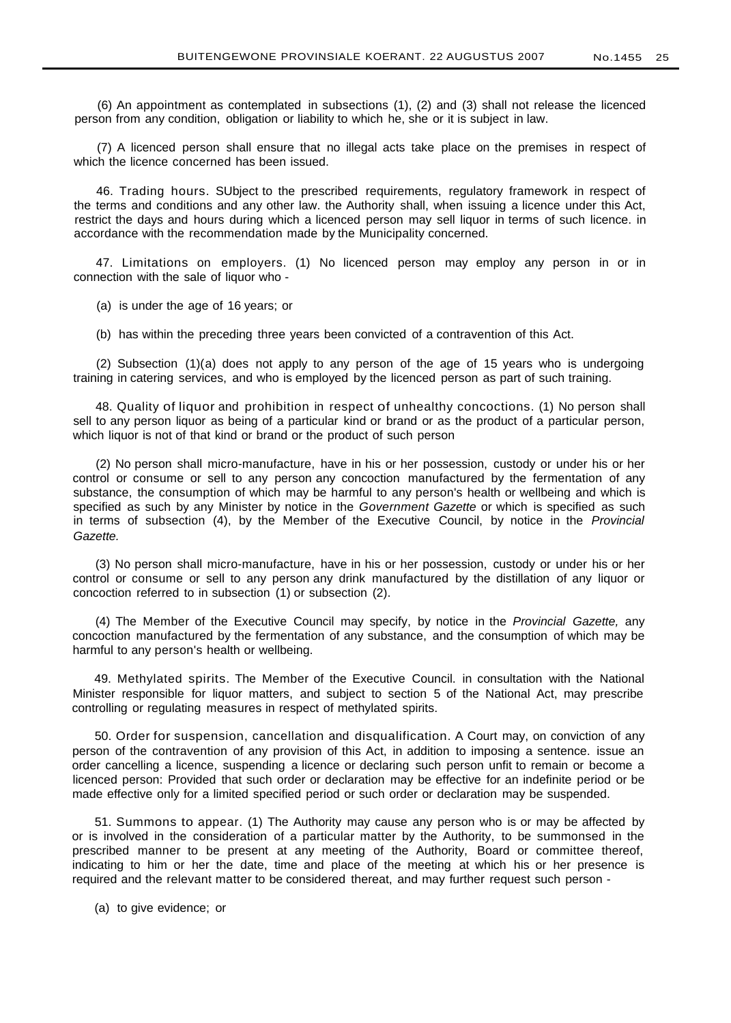(6) An appointment as contemplated in subsections (1), (2) and (3) shall not release the licenced person from any condition, obligation or liability to which he, she or it is subject in law.

(7) A licenced person shall ensure that no illegal acts take place on the premises in respect of which the licence concerned has been issued.

46. Trading hours. SUbject to the prescribed requirements, regulatory framework in respect of the terms and conditions and any other law. the Authority shall, when issuing a licence under this Act, restrict the days and hours during which a licenced person may sell liquor in terms of such licence. in accordance with the recommendation made by the Municipality concerned.

47. Limitations on employers. (1) No licenced person may employ any person in or in connection with the sale of liquor who -

(a) is under the age of 16 years; or

(b) has within the preceding three years been convicted of a contravention of this Act.

(2) Subsection (1)(a) does not apply to any person of the age of 15 years who is undergoing training in catering services, and who is employed by the licenced person as part of such training.

48. Quality of liquor and prohibition in respect of unhealthy concoctions. (1) No person shall sell to any person liquor as being of a particular kind or brand or as the product of a particular person, which liquor is not of that kind or brand or the product of such person

(2) No person shall micro-manufacture, have in his or her possession, custody or under his or her control or consume or sell to any person any concoction manufactured by the fermentation of any substance, the consumption of which may be harmful to any person's health or wellbeing and which is specified as such by any Minister by notice in the Government Gazette or which is specified as such in terms of subsection (4), by the Member of the Executive Council, by notice in the Provincial Gazette.

(3) No person shall micro-manufacture, have in his or her possession, custody or under his or her control or consume or sell to any person any drink manufactured by the distillation of any liquor or concoction referred to in subsection (1) or subsection (2).

(4) The Member of the Executive Council may specify, by notice in the Provincial Gazette, any concoction manufactured by the fermentation of any substance, and the consumption of which may be harmful to any person's health or wellbeing.

49. Methylated spirits. The Member of the Executive Council. in consultation with the National Minister responsible for liquor matters, and subject to section 5 of the National Act, may prescribe controlling or regulating measures in respect of methylated spirits.

50. Order for suspension, cancellation and disqualification. A Court may, on conviction of any person of the contravention of any provision of this Act, in addition to imposing a sentence. issue an order cancelling a licence, suspending a licence or declaring such person unfit to remain or become a licenced person: Provided that such order or declaration may be effective for an indefinite period or be made effective only for a limited specified period or such order or declaration may be suspended.

51. Summons to appear. (1) The Authority may cause any person who is or may be affected by or is involved in the consideration of a particular matter by the Authority, to be summonsed in the prescribed manner to be present at any meeting of the Authority, Board or committee thereof, indicating to him or her the date, time and place of the meeting at which his or her presence is required and the relevant matter to be considered thereat, and may further request such person -

(a) to give evidence; or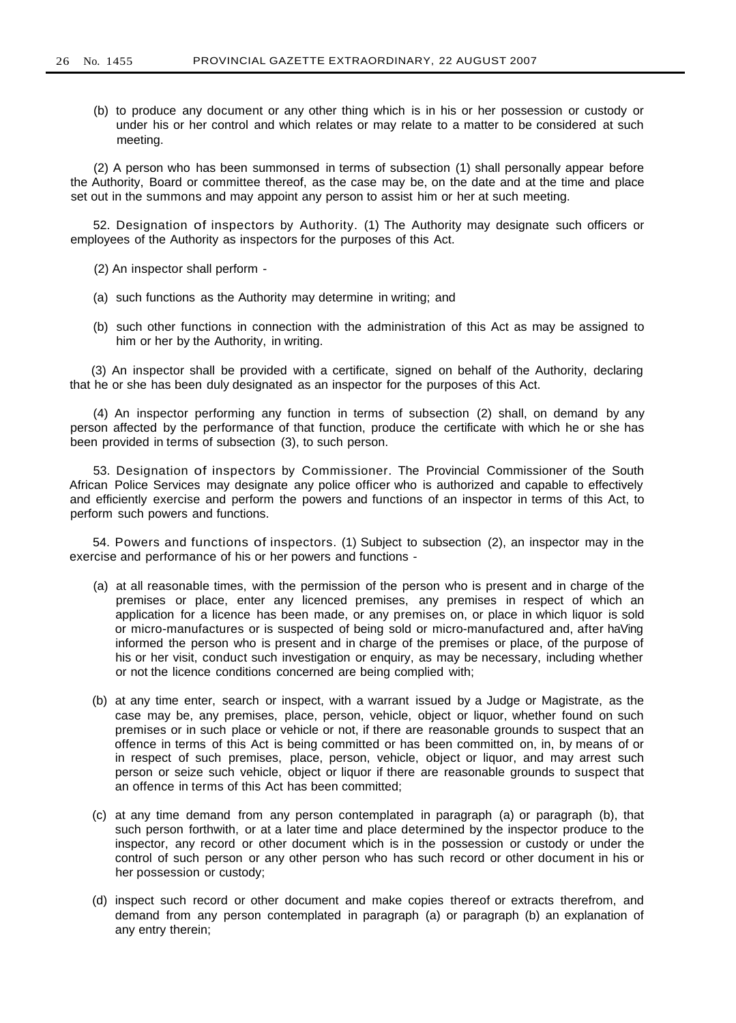(b) to produce any document or any other thing which is in his or her possession or custody or under his or her control and which relates or may relate to a matter to be considered at such meeting.

(2) A person who has been summonsed in terms of subsection (1) shall personally appear before the Authority, Board or committee thereof, as the case may be, on the date and at the time and place set out in the summons and may appoint any person to assist him or her at such meeting.

52. Designation of inspectors by Authority. (1) The Authority may designate such officers or employees of the Authority as inspectors for the purposes of this Act.

(2) An inspector shall perform -

- (a) such functions as the Authority may determine in writing; and
- (b) such other functions in connection with the administration of this Act as may be assigned to him or her by the Authority, in writing.

(3) An inspector shall be provided with a certificate, signed on behalf of the Authority, declaring that he or she has been duly designated as an inspector for the purposes of this Act.

(4) An inspector performing any function in terms of subsection (2) shall, on demand by any person affected by the performance of that function, produce the certificate with which he or she has been provided in terms of subsection (3), to such person.

53. Designation of inspectors by Commissioner. The Provincial Commissioner of the South African Police Services may designate any police officer who is authorized and capable to effectively and efficiently exercise and perform the powers and functions of an inspector in terms of this Act, to perform such powers and functions.

54. Powers and functions of inspectors. (1) Subject to subsection (2), an inspector may in the exercise and performance of his or her powers and functions -

- (a) at all reasonable times, with the permission of the person who is present and in charge of the premises or place, enter any licenced premises, any premises in respect of which an application for a licence has been made, or any premises on, or place in which liquor is sold or micro-manufactures or is suspected of being sold or micro-manufactured and, after haVing informed the person who is present and in charge of the premises or place, of the purpose of his or her visit, conduct such investigation or enquiry, as may be necessary, including whether or not the licence conditions concerned are being complied with;
- (b) at any time enter, search or inspect, with a warrant issued by a Judge or Magistrate, as the case may be, any premises, place, person, vehicle, object or liquor, whether found on such premises or in such place or vehicle or not, if there are reasonable grounds to suspect that an offence in terms of this Act is being committed or has been committed on, in, by means of or in respect of such premises, place, person, vehicle, object or liquor, and may arrest such person or seize such vehicle, object or liquor if there are reasonable grounds to suspect that an offence in terms of this Act has been committed;
- (c) at any time demand from any person contemplated in paragraph (a) or paragraph (b), that such person forthwith, or at a later time and place determined by the inspector produce to the inspector, any record or other document which is in the possession or custody or under the control of such person or any other person who has such record or other document in his or her possession or custody;
- (d) inspect such record or other document and make copies thereof or extracts therefrom, and demand from any person contemplated in paragraph (a) or paragraph (b) an explanation of any entry therein;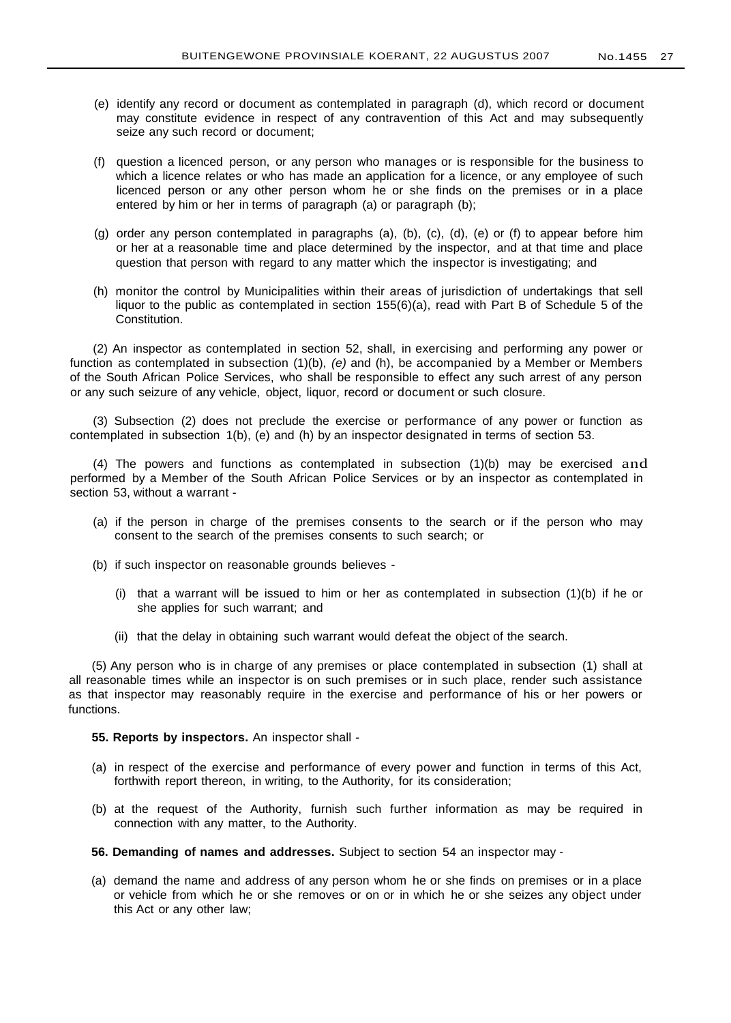- (e) identify any record or document as contemplated in paragraph (d), which record or document may constitute evidence in respect of any contravention of this Act and may subsequently seize any such record or document;
- (f) question a licenced person, or any person who manages or is responsible for the business to which a licence relates or who has made an application for a licence, or any employee of such licenced person or any other person whom he or she finds on the premises or in a place entered by him or her in terms of paragraph (a) or paragraph (b);
- (g) order any person contemplated in paragraphs (a), (b), (c), (d), (e) or (f) to appear before him or her at a reasonable time and place determined by the inspector, and at that time and place question that person with regard to any matter which the inspector is investigating; and
- (h) monitor the control by Municipalities within their areas of jurisdiction of undertakings that sell liquor to the public as contemplated in section 155(6)(a), read with Part B of Schedule 5 of the Constitution.

(2) An inspector as contemplated in section 52, shall, in exercising and performing any power or function as contemplated in subsection  $(1)(b)$ ,  $(e)$  and  $(h)$ , be accompanied by a Member or Members of the South African Police Services, who shall be responsible to effect any such arrest of any person or any such seizure of any vehicle, object, liquor, record or document or such closure.

(3) Subsection (2) does not preclude the exercise or performance of any power or function as contemplated in subsection 1(b), (e) and (h) by an inspector designated in terms of section 53.

(4) The powers and functions as contemplated in subsection (1)(b) may be exercised and performed by a Member of the South African Police Services or by an inspector as contemplated in section 53, without a warrant -

- (a) if the person in charge of the premises consents to the search or if the person who may consent to the search of the premises consents to such search; or
- (b) if such inspector on reasonable grounds believes
	- (i) that a warrant will be issued to him or her as contemplated in subsection  $(1)(b)$  if he or she applies for such warrant; and
	- (ii) that the delay in obtaining such warrant would defeat the object of the search.

(5) Any person who is in charge of any premises or place contemplated in subsection (1) shall at all reasonable times while an inspector is on such premises or in such place, render such assistance as that inspector may reasonably require in the exercise and performance of his or her powers or functions.

#### **55. Reports by inspectors.** An inspector shall -

- (a) in respect of the exercise and performance of every power and function in terms of this Act, forthwith report thereon, in writing, to the Authority, for its consideration;
- (b) at the request of the Authority, furnish such further information as may be required in connection with any matter, to the Authority.
- **56. Demanding of names and addresses.** Subject to section 54 an inspector may -
- (a) demand the name and address of any person whom he or she finds on premises or in a place or vehicle from which he or she removes or on or in which he or she seizes any object under this Act or any other law;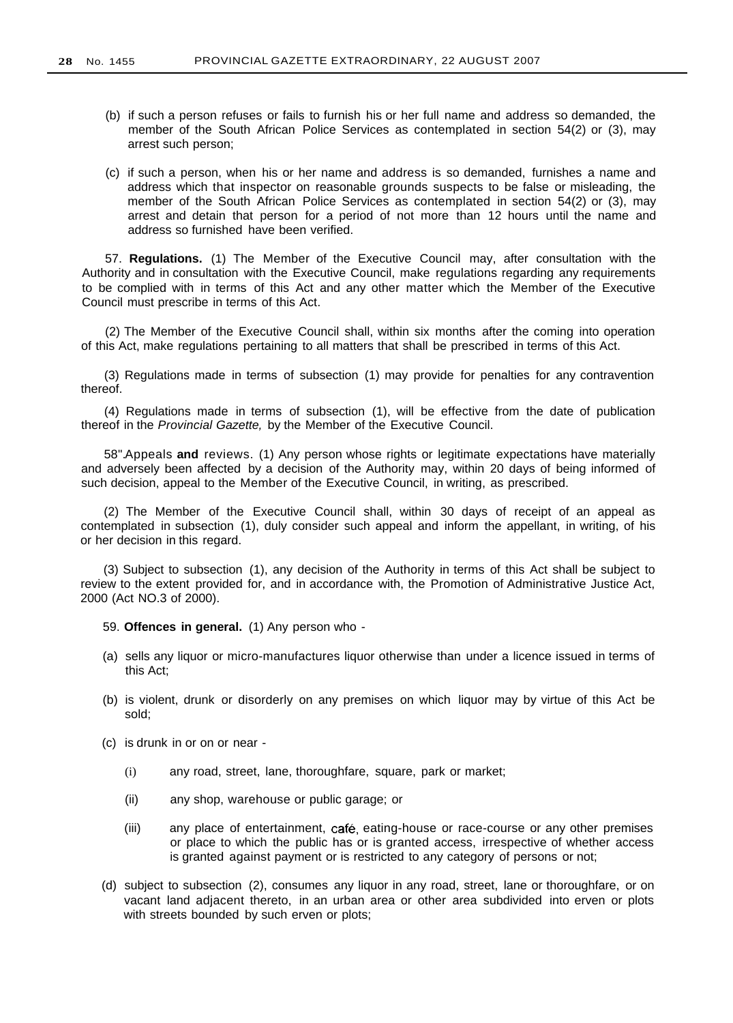- (b) if such a person refuses or fails to furnish his or her full name and address so demanded, the member of the South African Police Services as contemplated in section 54(2) or (3), may arrest such person;
- (c) if such a person, when his or her name and address is so demanded, furnishes a name and address which that inspector on reasonable grounds suspects to be false or misleading, the member of the South African Police Services as contemplated in section 54(2) or (3), may arrest and detain that person for a period of not more than 12 hours until the name and address so furnished have been verified.

57. **Regulations.** (1) The Member of the Executive Council may, after consultation with the Authority and in consultation with the Executive Council, make regulations regarding any requirements to be complied with in terms of this Act and any other matter which the Member of the Executive Council must prescribe in terms of this Act.

(2) The Member of the Executive Council shall, within six months after the coming into operation of this Act, make regulations pertaining to all matters that shall be prescribed in terms of this Act.

(3) Regulations made in terms of subsection (1) may provide for penalties for any contravention thereof.

(4) Regulations made in terms of subsection (1), will be effective from the date of publication thereof in the Provincial Gazette, by the Member of the Executive Council.

58".Appeals **and** reviews. (1) Any person whose rights or legitimate expectations have materially and adversely been affected by a decision of the Authority may, within 20 days of being informed of such decision, appeal to the Member of the Executive Council, in writing, as prescribed.

(2) The Member of the Executive Council shall, within 30 days of receipt of an appeal as contemplated in subsection (1), duly consider such appeal and inform the appellant, in writing, of his or her decision in this regard.

(3) Subject to subsection (1), any decision of the Authority in terms of this Act shall be subject to review to the extent provided for, and in accordance with, the Promotion of Administrative Justice Act, 2000 (Act NO.3 of 2000).

- 59. **Offences in general.** (1) Any person who -
- (a) sells any liquor or micro-manufactures liquor otherwise than under a licence issued in terms of this Act;
- (b) is violent, drunk or disorderly on any premises on which liquor may by virtue of this Act be sold;
- (c) is drunk in or on or near
	- (i) any road, street, lane, thoroughfare, square, park or market;
	- (ii) any shop, warehouse or public garage; or
	- (iii) any place of entertainment, cafe, eating-house or race-course or any other premises or place to which the public has or is granted access, irrespective of whether access is granted against payment or is restricted to any category of persons or not;
- (d) subject to subsection (2), consumes any liquor in any road, street, lane or thoroughfare, or on vacant land adjacent thereto, in an urban area or other area subdivided into erven or plots with streets bounded by such erven or plots;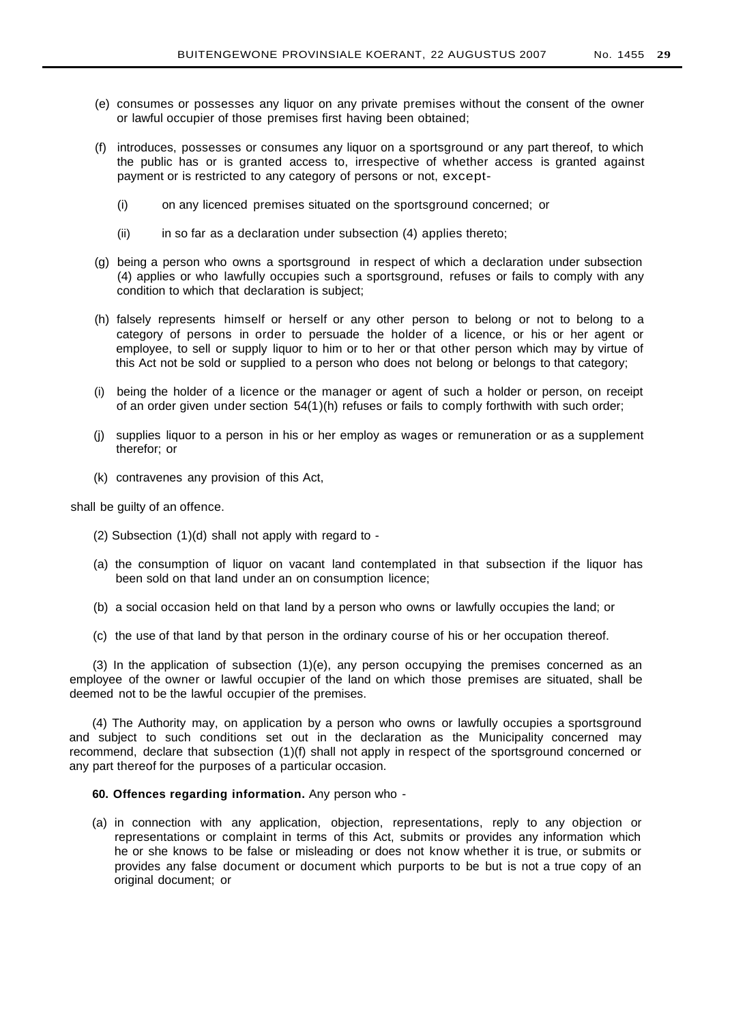- (e) consumes or possesses any liquor on any private premises without the consent of the owner or lawful occupier of those premises first having been obtained;
- (f) introduces, possesses or consumes any liquor on a sportsground or any part thereof, to which the public has or is granted access to, irrespective of whether access is granted against payment or is restricted to any category of persons or not, except-
	- (i) on any licenced premises situated on the sportsground concerned; or
	- (ii) in so far as a declaration under subsection (4) applies thereto;
- (g) being a person who owns a sportsground in respect of which a declaration under subsection (4) applies or who lawfully occupies such a sportsground, refuses or fails to comply with any condition to which that declaration is subject;
- (h) falsely represents himself or herself or any other person to belong or not to belong to a category of persons in order to persuade the holder of a licence, or his or her agent or employee, to sell or supply liquor to him or to her or that other person which may by virtue of this Act not be sold or supplied to a person who does not belong or belongs to that category;
- (i) being the holder of a licence or the manager or agent of such a holder or person, on receipt of an order given under section 54(1)(h) refuses or fails to comply forthwith with such order;
- (j) supplies liquor to a person in his or her employ as wages or remuneration or as a supplement therefor; or
- (k) contravenes any provision of this Act,

shall be guilty of an offence.

- (2) Subsection (1)(d) shall not apply with regard to -
- (a) the consumption of liquor on vacant land contemplated in that subsection if the liquor has been sold on that land under an on consumption licence;
- (b) a social occasion held on that land by a person who owns or lawfully occupies the land; or
- (c) the use of that land by that person in the ordinary course of his or her occupation thereof.

(3) In the application of subsection (1)(e), any person occupying the premises concerned as an employee of the owner or lawful occupier of the land on which those premises are situated, shall be deemed not to be the lawful occupier of the premises.

(4) The Authority may, on application by a person who owns or lawfully occupies a sportsground and subject to such conditions set out in the declaration as the Municipality concerned may recommend, declare that subsection (1)(f) shall not apply in respect of the sportsground concerned or any part thereof for the purposes of a particular occasion.

### **60. Offences regarding information.** Any person who -

(a) in connection with any application, objection, representations, reply to any objection or representations or complaint in terms of this Act, submits or provides any information which he or she knows to be false or misleading or does not know whether it is true, or submits or provides any false document or document which purports to be but is not a true copy of an original document; or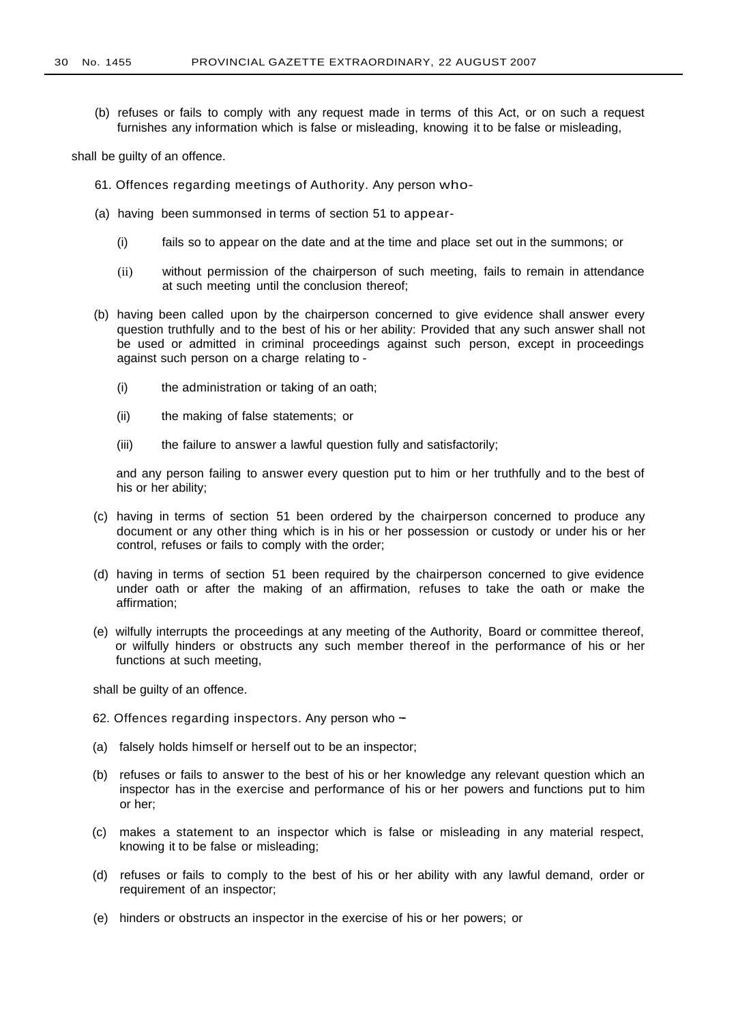(b) refuses or fails to comply with any request made in terms of this Act, or on such a request furnishes any information which is false or misleading, knowing it to be false or misleading,

shall be guilty of an offence.

- 61. Offences regarding meetings of Authority. Any person who-
- (a) having been summonsed in terms of section 51 to appear-
	- (i) fails so to appear on the date and at the time and place set out in the summons; or
	- (ii) without permission of the chairperson of such meeting, fails to remain in attendance at such meeting until the conclusion thereof;
- (b) having been called upon by the chairperson concerned to give evidence shall answer every question truthfully and to the best of his or her ability: Provided that any such answer shall not be used or admitted in criminal proceedings against such person, except in proceedings against such person on a charge relating to -
	- (i) the administration or taking of an oath;
	- (ii) the making of false statements; or
	- (iii) the failure to answer a lawful question fully and satisfactorily;

and any person failing to answer every question put to him or her truthfully and to the best of his or her ability;

- (c) having in terms of section 51 been ordered by the chairperson concerned to produce any document or any other thing which is in his or her possession or custody or under his or her control, refuses or fails to comply with the order;
- (d) having in terms of section 51 been required by the chairperson concerned to give evidence under oath or after the making of an affirmation, refuses to take the oath or make the affirmation;
- (e) wilfully interrupts the proceedings at any meeting of the Authority, Board or committee thereof, or wilfully hinders or obstructs any such member thereof in the performance of his or her functions at such meeting,

shall be guilty of an offence.

- 62. Offences regarding inspectors. Any person who -
- (a) falsely holds himself or herself out to be an inspector;
- (b) refuses or fails to answer to the best of his or her knowledge any relevant question which an inspector has in the exercise and performance of his or her powers and functions put to him or her;
- (c) makes a statement to an inspector which is false or misleading in any material respect, knowing it to be false or misleading;
- (d) refuses or fails to comply to the best of his or her ability with any lawful demand, order or requirement of an inspector;
- (e) hinders or obstructs an inspector in the exercise of his or her powers; or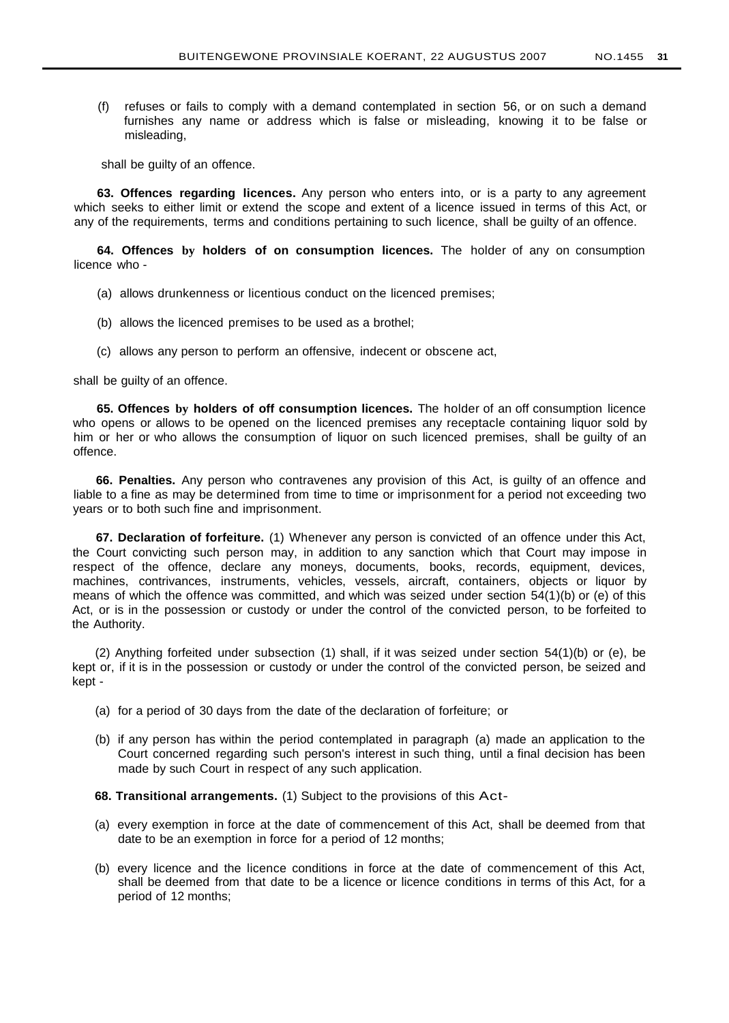(f) refuses or fails to comply with a demand contemplated in section 56, or on such a demand furnishes any name or address which is false or misleading, knowing it to be false or misleading,

shall be guilty of an offence.

**63. Offences regarding licences.** Any person who enters into, or is a party to any agreement which seeks to either limit or extend the scope and extent of a licence issued in terms of this Act, or any of the requirements, terms and conditions pertaining to such licence, shall be guilty of an offence.

**64. Offences by holders of on consumption licences.** The holder of any on consumption licence who -

- (a) allows drunkenness or licentious conduct on the licenced premises;
- (b) allows the licenced premises to be used as a brothel;
- (c) allows any person to perform an offensive, indecent or obscene act,

shall be guilty of an offence.

**65. Offences by holders of off consumption licences.** The holder of an off consumption licence who opens or allows to be opened on the licenced premises any receptacle containing liquor sold by him or her or who allows the consumption of liquor on such licenced premises, shall be quilty of an offence.

**66. Penalties.** Any person who contravenes any provision of this Act, is guilty of an offence and liable to a fine as may be determined from time to time or imprisonment for a period not exceeding two years or to both such fine and imprisonment.

**67. Declaration of forfeiture.** (1) Whenever any person is convicted of an offence under this Act, the Court convicting such person may, in addition to any sanction which that Court may impose in respect of the offence, declare any moneys, documents, books, records, equipment, devices, machines, contrivances, instruments, vehicles, vessels, aircraft, containers, objects or liquor by means of which the offence was committed, and which was seized under section 54(1)(b) or (e) of this Act, or is in the possession or custody or under the control of the convicted person, to be forfeited to the Authority.

(2) Anything forfeited under subsection (1) shall, if it was seized under section 54(1)(b) or (e), be kept or, if it is in the possession or custody or under the control of the convicted person, be seized and kept -

- (a) for a period of 30 days from the date of the declaration of forfeiture; or
- (b) if any person has within the period contemplated in paragraph (a) made an application to the Court concerned regarding such person's interest in such thing, until a final decision has been made by such Court in respect of any such application.

**68. Transitional arrangements.** (1) Subject to the provisions of this Act-

- (a) every exemption in force at the date of commencement of this Act, shall be deemed from that date to be an exemption in force for a period of 12 months;
- (b) every licence and the licence conditions in force at the date of commencement of this Act, shall be deemed from that date to be a licence or licence conditions in terms of this Act, for a period of 12 months;